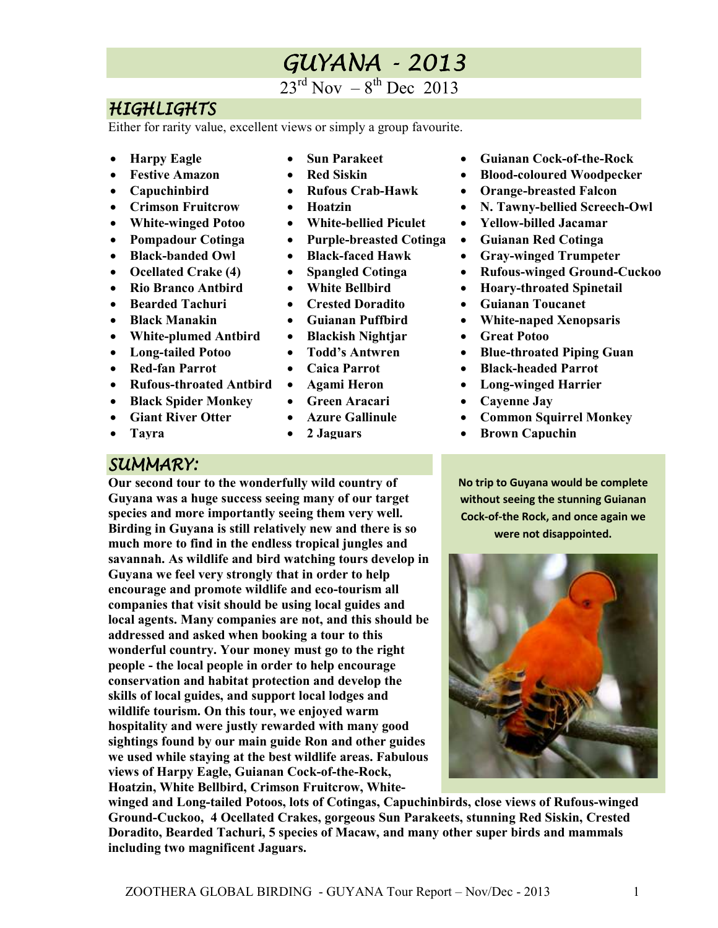# GUYANA-2013

 $23^{\text{rd}}$  Nov  $-8^{\text{th}}$  Dec 2013

# HIGHLIGHTS

Either for rarity value, excellent views or simply a group favourite.

- **Harpy Eagle**
- **Festive Amazon**
- **Capuchinbird**
- **Crimson Fruitcrow**
- **White-winged Potoo**
- **Pompadour Cotinga**
- **Black-banded Owl**
- **Ocellated Crake (4)**
- **Rio Branco Antbird**
- **Bearded Tachuri**
- **Black Manakin**
- **White-plumed Antbird**
- Long-tailed Potoo
- **Red-fan Parrot**
- **Rufous-throated Antbird**
- **Black Spider Monkey**
- **Giant River Otter**
- **Tayra**
- **Sun Parakeet**
- **Red Siskin**
- **Rufous Crab-Hawk**
- **Hoatzin**
- **White-bellied Piculet**
- **Purple-breasted Cotinga**
- **Black-faced Hawk**
- **Spangled Cotinga**
- **White Bellbird**
- **Crested Doradito**
- **Guianan Puffbird**
- **Blackish Nightjar**
- **Todd's Antwren**
- **Caica Parrot**
- **Agami Heron**
- **Green Aracari**
- **Azure Gallinule**
- **2 Jaguars**
- **Guianan Cock-of-the-Rock**
- **Blood-coloured Woodpecker**
- **Orange-breasted Falcon**
- **N. Tawny-bellied Screech-Owl**
- **Yellow-billed Jacamar**
- **Guianan Red Cotinga**
- **Gray-winged Trumpeter**
- **Rufous-winged Ground-Cuckoo**
- **Hoary-throated Spinetail**
- **Guianan Toucanet**
- **White-naped Xenopsaris**
- **Great Potoo**
- **Blue-throated Piping Guan**
- **Black-headed Parrot**
- **Long-winged Harrier**
- **Cayenne Jay**
- **Common Squirrel Monkey**
- **Brown Capuchin**

SUMMARY:

**Our second tour to the wonderfully wild country of Guyana was a huge success seeing many of our target species and more importantly seeing them very well. Birding in Guyana is still relatively new and there is so much more to find in the endless tropical jungles and savannah. As wildlife and bird watching tours develop in Guyana we feel very strongly that in order to help encourage and promote wildlife and eco-tourism all companies that visit should be using local guides and local agents. Many companies are not, and this should be addressed and asked when booking a tour to this wonderful country. Your money must go to the right people - the local people in order to help encourage conservation and habitat protection and develop the skills of local guides, and support local lodges and wildlife tourism. On this tour, we enjoyed warm hospitality and were justly rewarded with many good sightings found by our main guide Ron and other guides we used while staying at the best wildlife areas. Fabulous** 

**views of Harpy Eagle, Guianan Cock-of-the-Rock, Hoatzin, White Bellbird, Crimson Fruitcrow, White-** **No trip to Guyana would be complete without seeing the stunning Guianan Cock-of-the Rock, and once again we were not disappointed.** 



**winged and Long-tailed Potoos, lots of Cotingas, Capuchinbirds, close views of Rufous-winged Ground-Cuckoo, 4 Ocellated Crakes, gorgeous Sun Parakeets, stunning Red Siskin, Crested Doradito, Bearded Tachuri, 5 species of Macaw, and many other super birds and mammals including two magnificent Jaguars.**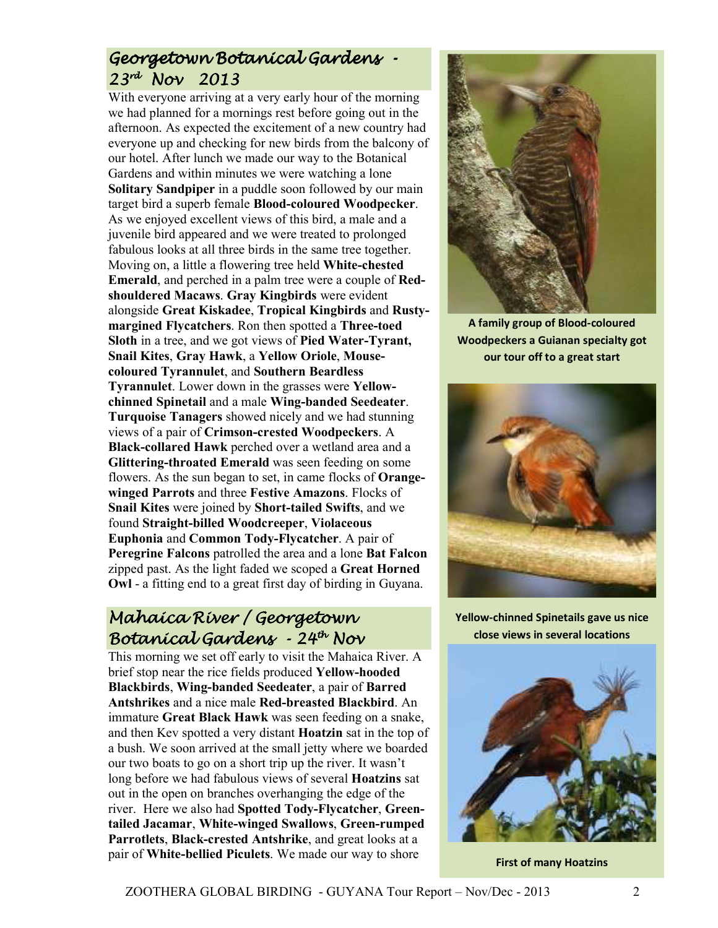# Georgetown Botanical Gardens -23rd Nov 2013

With everyone arriving at a very early hour of the morning we had planned for a mornings rest before going out in the afternoon. As expected the excitement of a new country had everyone up and checking for new birds from the balcony of our hotel. After lunch we made our way to the Botanical Gardens and within minutes we were watching a lone **Solitary Sandpiper** in a puddle soon followed by our main target bird a superb female **Blood-coloured Woodpecker**. As we enjoyed excellent views of this bird, a male and a juvenile bird appeared and we were treated to prolonged fabulous looks at all three birds in the same tree together. Moving on, a little a flowering tree held **White-chested Emerald**, and perched in a palm tree were a couple of **Redshouldered Macaws**. **Gray Kingbirds** were evident alongside **Great Kiskadee**, **Tropical Kingbirds** and **Rustymargined Flycatchers**. Ron then spotted a **Three-toed Sloth** in a tree, and we got views of **Pied Water-Tyrant, Snail Kites**, **Gray Hawk**, a **Yellow Oriole**, **Mousecoloured Tyrannulet**, and **Southern Beardless Tyrannulet**. Lower down in the grasses were **Yellowchinned Spinetail** and a male **Wing-banded Seedeater**. **Turquoise Tanagers** showed nicely and we had stunning views of a pair of **Crimson-crested Woodpeckers**. A **Black-collared Hawk** perched over a wetland area and a **Glittering-throated Emerald** was seen feeding on some flowers. As the sun began to set, in came flocks of **Orangewinged Parrots** and three **Festive Amazons**. Flocks of **Snail Kites** were joined by **Short-tailed Swifts**, and we found **Straight-billed Woodcreeper**, **Violaceous Euphonia** and **Common Tody-Flycatcher**. A pair of **Peregrine Falcons** patrolled the area and a lone **Bat Falcon** zipped past. As the light faded we scoped a **Great Horned Owl** - a fitting end to a great first day of birding in Guyana.

# Mahaica River / Georgetown Botanícal Gardens - 24<sup>th</sup> Nov

This morning we set off early to visit the Mahaica River. A brief stop near the rice fields produced **Yellow-hooded Blackbirds**, **Wing-banded Seedeater**, a pair of **Barred Antshrikes** and a nice male **Red-breasted Blackbird**. An immature **Great Black Hawk** was seen feeding on a snake, and then Kev spotted a very distant **Hoatzin** sat in the top of a bush. We soon arrived at the small jetty where we boarded our two boats to go on a short trip up the river. It wasn't long before we had fabulous views of several **Hoatzins** sat out in the open on branches overhanging the edge of the river. Here we also had **Spotted Tody-Flycatcher**, **Greentailed Jacamar**, **White-winged Swallows**, **Green-rumped Parrotlets**, **Black-crested Antshrike**, and great looks at a pair of **White-bellied Piculets**. We made our way to shore



**A family group of Blood-coloured Woodpeckers a Guianan specialty got our tour off to a great start** 



**Yellow-chinned Spinetails gave us nice close views in several locations**



**First of many Hoatzins**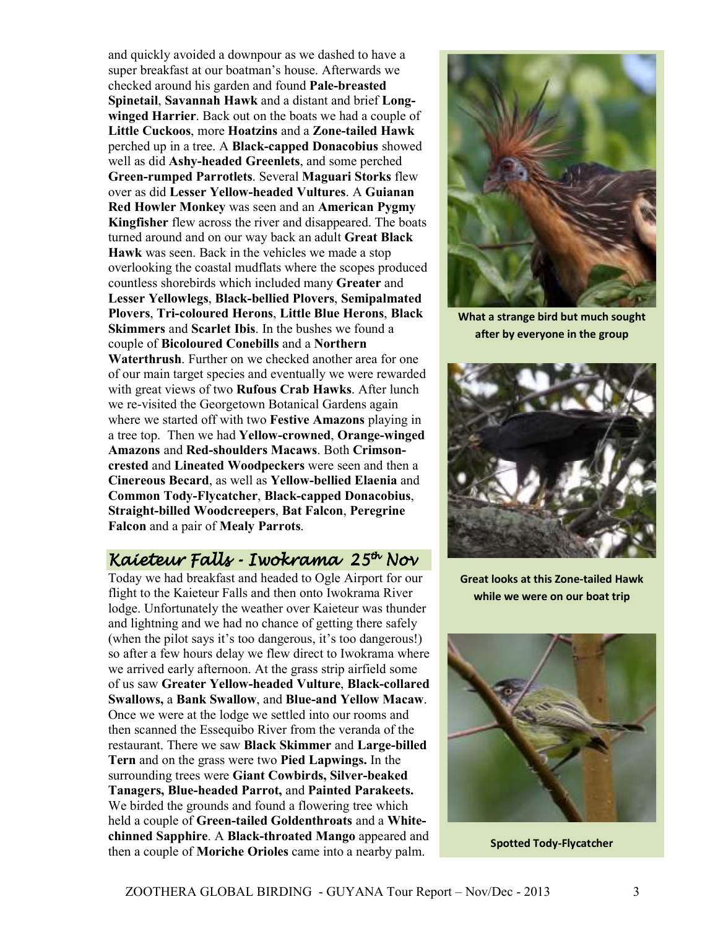and quickly avoided a downpour as we dashed to have a super breakfast at our boatman's house. Afterwards we checked around his garden and found **Pale-breasted Spinetail**, **Savannah Hawk** and a distant and brief **Longwinged Harrier**. Back out on the boats we had a couple of **Little Cuckoos**, more **Hoatzins** and a **Zone-tailed Hawk** perched up in a tree. A **Black-capped Donacobius** showed well as did **Ashy-headed Greenlets**, and some perched **Green-rumped Parrotlets**. Several **Maguari Storks** flew over as did **Lesser Yellow-headed Vultures**. A **Guianan Red Howler Monkey** was seen and an **American Pygmy Kingfisher** flew across the river and disappeared. The boats turned around and on our way back an adult **Great Black Hawk** was seen. Back in the vehicles we made a stop overlooking the coastal mudflats where the scopes produced countless shorebirds which included many **Greater** and **Lesser Yellowlegs**, **Black-bellied Plovers**, **Semipalmated Plovers**, **Tri-coloured Herons**, **Little Blue Herons**, **Black Skimmers** and **Scarlet Ibis**. In the bushes we found a couple of **Bicoloured Conebills** and a **Northern Waterthrush**. Further on we checked another area for one of our main target species and eventually we were rewarded with great views of two **Rufous Crab Hawks**. After lunch we re-visited the Georgetown Botanical Gardens again where we started off with two **Festive Amazons** playing in a tree top. Then we had **Yellow-crowned**, **Orange-winged Amazons** and **Red-shoulders Macaws**. Both **Crimsoncrested** and **Lineated Woodpeckers** were seen and then a **Cinereous Becard**, as well as **Yellow-bellied Elaenia** and **Common Tody-Flycatcher**, **Black-capped Donacobius**, **Straight-billed Woodcreepers**, **Bat Falcon**, **Peregrine Falcon** and a pair of **Mealy Parrots**.

# Kaíeteur Falls - Iwokrama<sup>,</sup> 25<sup>th</sup> Nov

Today we had breakfast and headed to Ogle Airport for our flight to the Kaieteur Falls and then onto Iwokrama River lodge. Unfortunately the weather over Kaieteur was thunder and lightning and we had no chance of getting there safely (when the pilot says it's too dangerous, it's too dangerous!) so after a few hours delay we flew direct to Iwokrama where we arrived early afternoon. At the grass strip airfield some of us saw **Greater Yellow-headed Vulture**, **Black-collared Swallows,** a **Bank Swallow**, and **Blue-and Yellow Macaw**. Once we were at the lodge we settled into our rooms and then scanned the Essequibo River from the veranda of the restaurant. There we saw **Black Skimmer** and **Large-billed Tern** and on the grass were two **Pied Lapwings.** In the surrounding trees were **Giant Cowbirds, Silver-beaked Tanagers, Blue-headed Parrot,** and **Painted Parakeets.**  We birded the grounds and found a flowering tree which held a couple of **Green-tailed Goldenthroats** and a **Whitechinned Sapphire**. A **Black-throated Mango** appeared and then a couple of **Moriche Orioles** came into a nearby palm.



**What a strange bird but much sought after by everyone in the group** 



**Great looks at this Zone-tailed Hawk while we were on our boat trip** 



**Spotted Tody-Flycatcher**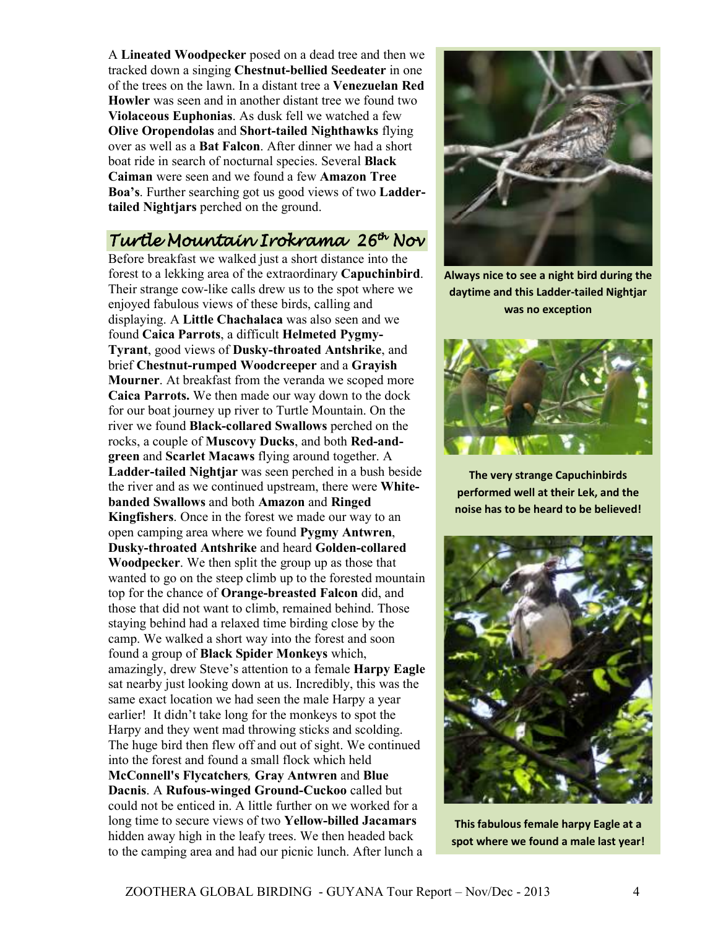A **Lineated Woodpecker** posed on a dead tree and then we tracked down a singing **Chestnut-bellied Seedeater** in one of the trees on the lawn. In a distant tree a **Venezuelan Red Howler** was seen and in another distant tree we found two **Violaceous Euphonias**. As dusk fell we watched a few **Olive Oropendolas** and **Short-tailed Nighthawks** flying over as well as a **Bat Falcon**. After dinner we had a short boat ride in search of nocturnal species. Several **Black Caiman** were seen and we found a few **Amazon Tree Boa's**. Further searching got us good views of two **Laddertailed Nightjars** perched on the ground.

# Turtle Mountain Irokrama 26<sup>th</sup> Nov

Before breakfast we walked just a short distance into the forest to a lekking area of the extraordinary **Capuchinbird**. Their strange cow-like calls drew us to the spot where we enjoyed fabulous views of these birds, calling and displaying. A **Little Chachalaca** was also seen and we found **Caica Parrots**, a difficult **Helmeted Pygmy-Tyrant**, good views of **Dusky-throated Antshrike**, and brief **Chestnut-rumped Woodcreeper** and a **Grayish Mourner**. At breakfast from the veranda we scoped more **Caica Parrots.** We then made our way down to the dock for our boat journey up river to Turtle Mountain. On the river we found **Black-collared Swallows** perched on the rocks, a couple of **Muscovy Ducks**, and both **Red-andgreen** and **Scarlet Macaws** flying around together. A **Ladder-tailed Nightjar** was seen perched in a bush beside the river and as we continued upstream, there were **Whitebanded Swallows** and both **Amazon** and **Ringed Kingfishers**. Once in the forest we made our way to an open camping area where we found **Pygmy Antwren**, **Dusky-throated Antshrike** and heard **Golden-collared Woodpecker**. We then split the group up as those that wanted to go on the steep climb up to the forested mountain top for the chance of **Orange-breasted Falcon** did, and those that did not want to climb, remained behind. Those staying behind had a relaxed time birding close by the camp. We walked a short way into the forest and soon found a group of **Black Spider Monkeys** which, amazingly, drew Steve's attention to a female **Harpy Eagle** sat nearby just looking down at us. Incredibly, this was the same exact location we had seen the male Harpy a year earlier! It didn't take long for the monkeys to spot the Harpy and they went mad throwing sticks and scolding. The huge bird then flew off and out of sight. We continued into the forest and found a small flock which held **McConnell's Flycatchers***,* **Gray Antwren** and **Blue Dacnis**. A **Rufous-winged Ground-Cuckoo** called but could not be enticed in. A little further on we worked for a long time to secure views of two **Yellow-billed Jacamars** hidden away high in the leafy trees. We then headed back to the camping area and had our picnic lunch. After lunch a



**Always nice to see a night bird during the daytime and this Ladder-tailed Nightjar was no exception** 



**The very strange Capuchinbirds performed well at their Lek, and the noise has to be heard to be believed!** 



**This fabulous female harpy Eagle at a spot where we found a male last year!**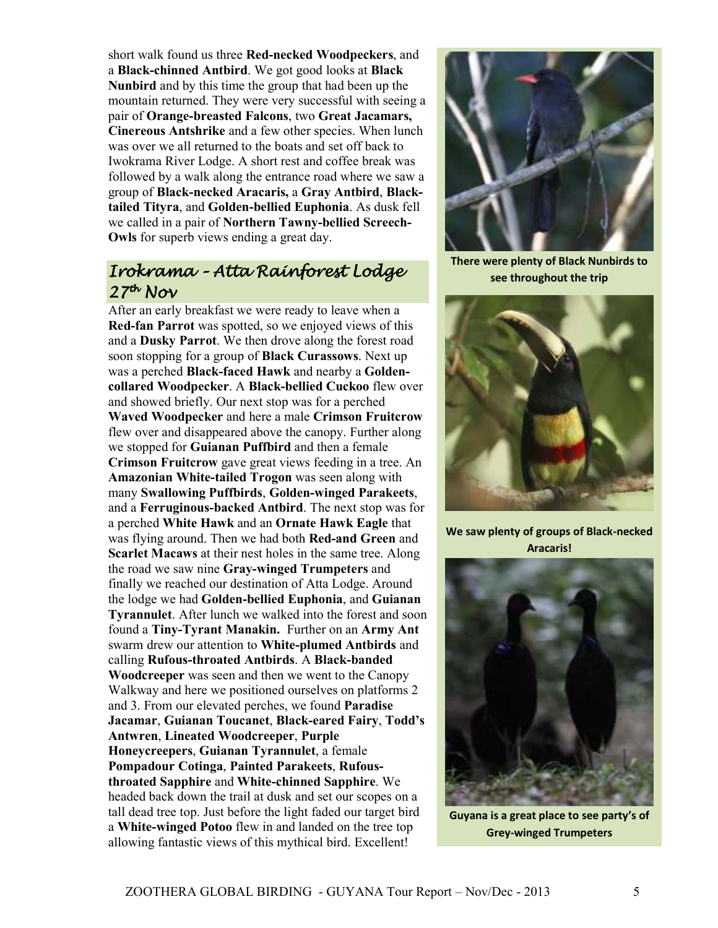short walk found us three **Red-necked Woodpeckers**, and a **Black-chinned Antbird**. We got good looks at **Black Nunbird** and by this time the group that had been up the mountain returned. They were very successful with seeing a pair of **Orange-breasted Falcons**, two **Great Jacamars, Cinereous Antshrike** and a few other species. When lunch was over we all returned to the boats and set off back to Iwokrama River Lodge. A short rest and coffee break was followed by a walk along the entrance road where we saw a group of **Black-necked Aracaris,** a **Gray Antbird**, **Blacktailed Tityra**, and **Golden-bellied Euphonia**. As dusk fell we called in a pair of **Northern Tawny-bellied Screech-Owls** for superb views ending a great day.

# Irokrama - Atta Rainforest Lodge  $27<sup>th</sup>$  Nov

After an early breakfast we were ready to leave when a **Red-fan Parrot** was spotted, so we enjoyed views of this and a **Dusky Parrot**. We then drove along the forest road soon stopping for a group of **Black Curassows**. Next up was a perched **Black-faced Hawk** and nearby a **Goldencollared Woodpecker**. A **Black-bellied Cuckoo** flew over and showed briefly. Our next stop was for a perched **Waved Woodpecker** and here a male **Crimson Fruitcrow** flew over and disappeared above the canopy. Further along we stopped for **Guianan Puffbird** and then a female **Crimson Fruitcrow** gave great views feeding in a tree. An **Amazonian White-tailed Trogon** was seen along with many **Swallowing Puffbirds**, **Golden-winged Parakeets**, and a **Ferruginous-backed Antbird**. The next stop was for a perched **White Hawk** and an **Ornate Hawk Eagle** that was flying around. Then we had both **Red-and Green** and **Scarlet Macaws** at their nest holes in the same tree. Along the road we saw nine **Gray-winged Trumpeters** and finally we reached our destination of Atta Lodge. Around the lodge we had **Golden-bellied Euphonia**, and **Guianan Tyrannulet**. After lunch we walked into the forest and soon found a **Tiny-Tyrant Manakin.** Further on an **Army Ant** swarm drew our attention to **White-plumed Antbirds** and calling **Rufous-throated Antbirds**. A **Black-banded Woodcreeper** was seen and then we went to the Canopy Walkway and here we positioned ourselves on platforms 2 and 3. From our elevated perches, we found **Paradise Jacamar**, **Guianan Toucanet**, **Black-eared Fairy**, **Todd's Antwren**, **Lineated Woodcreeper**, **Purple Honeycreepers**, **Guianan Tyrannulet**, a female **Pompadour Cotinga**, **Painted Parakeets**, **Rufousthroated Sapphire** and **White-chinned Sapphire**. We headed back down the trail at dusk and set our scopes on a tall dead tree top. Just before the light faded our target bird a **White-winged Potoo** flew in and landed on the tree top allowing fantastic views of this mythical bird. Excellent!



**There were plenty of Black Nunbirds to see throughout the trip** 



**We saw plenty of groups of Black-necked Aracaris!** 



**Guyana is a great place to see party's of Grey-winged Trumpeters**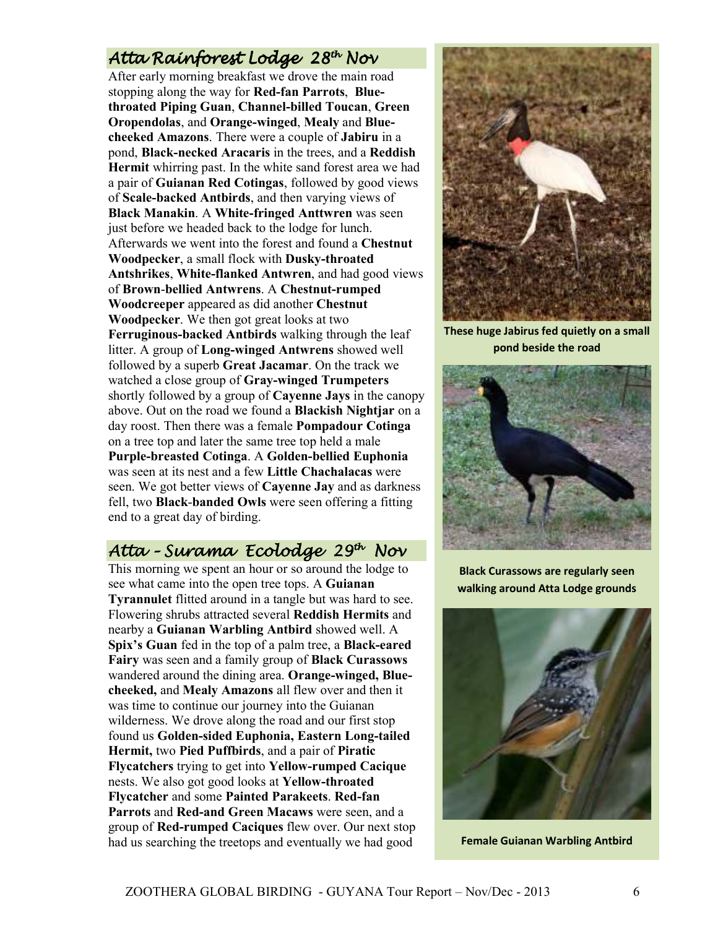# Atta Rainforest Lodge 28<sup>th</sup> Nov

After early morning breakfast we drove the main road stopping along the way for **Red-fan Parrots**, **Bluethroated Piping Guan**, **Channel-billed Toucan**, **Green Oropendolas**, and **Orange-winged**, **Mealy** and **Bluecheeked Amazons**. There were a couple of **Jabiru** in a pond, **Black-necked Aracaris** in the trees, and a **Reddish Hermit** whirring past. In the white sand forest area we had a pair of **Guianan Red Cotingas**, followed by good views of **Scale-backed Antbirds**, and then varying views of **Black Manakin**. A **White-fringed Anttwren** was seen just before we headed back to the lodge for lunch. Afterwards we went into the forest and found a **Chestnut Woodpecker**, a small flock with **Dusky-throated Antshrikes**, **White-flanked Antwren**, and had good views of **Brown**-**bellied Antwrens**. A **Chestnut-rumped Woodcreeper** appeared as did another **Chestnut Woodpecker**. We then got great looks at two **Ferruginous-backed Antbirds** walking through the leaf litter. A group of **Long-winged Antwrens** showed well followed by a superb **Great Jacamar**. On the track we watched a close group of **Gray-winged Trumpeters** shortly followed by a group of **Cayenne Jays** in the canopy above. Out on the road we found a **Blackish Nightjar** on a day roost. Then there was a female **Pompadour Cotinga** on a tree top and later the same tree top held a male **Purple-breasted Cotinga**. A **Golden-bellied Euphonia** was seen at its nest and a few **Little Chachalacas** were seen. We got better views of **Cayenne Jay** and as darkness fell, two **Black**-**banded Owls** were seen offering a fitting end to a great day of birding.

# Atta - Surama Ecolodge 29<sup>th</sup> Nov

This morning we spent an hour or so around the lodge to see what came into the open tree tops. A **Guianan Tyrannulet** flitted around in a tangle but was hard to see. Flowering shrubs attracted several **Reddish Hermits** and nearby a **Guianan Warbling Antbird** showed well. A **Spix's Guan** fed in the top of a palm tree, a **Black-eared Fairy** was seen and a family group of **Black Curassows** wandered around the dining area. **Orange-winged, Bluecheeked,** and **Mealy Amazons** all flew over and then it was time to continue our journey into the Guianan wilderness. We drove along the road and our first stop found us **Golden-sided Euphonia, Eastern Long-tailed Hermit,** two **Pied Puffbirds**, and a pair of **Piratic Flycatchers** trying to get into **Yellow-rumped Cacique** nests. We also got good looks at **Yellow-throated Flycatcher** and some **Painted Parakeets**. **Red-fan Parrots** and **Red-and Green Macaws** were seen, and a group of **Red-rumped Caciques** flew over. Our next stop had us searching the treetops and eventually we had good



**These huge Jabirus fed quietly on a small pond beside the road** 



**Black Curassows are regularly seen walking around Atta Lodge grounds** 



**Female Guianan Warbling Antbird**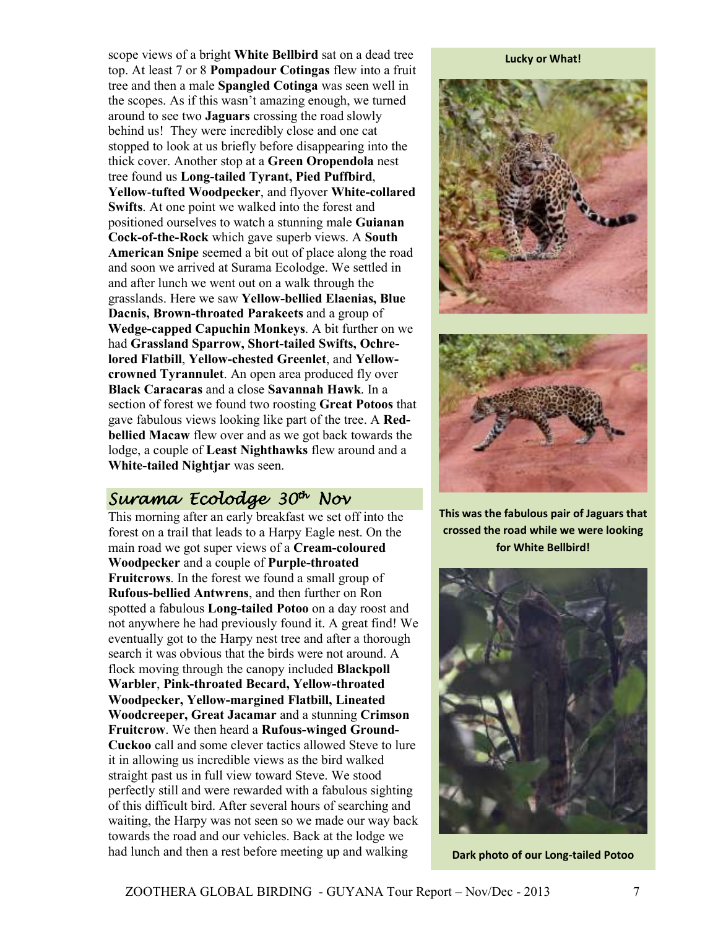scope views of a bright **White Bellbird** sat on a dead tree top. At least 7 or 8 **Pompadour Cotingas** flew into a fruit tree and then a male **Spangled Cotinga** was seen well in the scopes. As if this wasn't amazing enough, we turned around to see two **Jaguars** crossing the road slowly behind us! They were incredibly close and one cat stopped to look at us briefly before disappearing into the thick cover. Another stop at a **Green Oropendola** nest tree found us **Long-tailed Tyrant, Pied Puffbird**, **Yellow**-**tufted Woodpecker**, and flyover **White-collared Swifts**. At one point we walked into the forest and positioned ourselves to watch a stunning male **Guianan Cock-of-the-Rock** which gave superb views. A **South American Snipe** seemed a bit out of place along the road and soon we arrived at Surama Ecolodge. We settled in and after lunch we went out on a walk through the grasslands. Here we saw **Yellow-bellied Elaenias, Blue Dacnis, Brown-throated Parakeets** and a group of **Wedge-capped Capuchin Monkeys**. A bit further on we had **Grassland Sparrow, Short-tailed Swifts, Ochrelored Flatbill**, **Yellow-chested Greenlet**, and **Yellowcrowned Tyrannulet**. An open area produced fly over **Black Caracaras** and a close **Savannah Hawk**. In a section of forest we found two roosting **Great Potoos** that gave fabulous views looking like part of the tree. A **Redbellied Macaw** flew over and as we got back towards the lodge, a couple of **Least Nighthawks** flew around and a **White-tailed Nightjar** was seen.

# Surama Ecolodge 30<sup>th</sup> Nov

This morning after an early breakfast we set off into the forest on a trail that leads to a Harpy Eagle nest. On the main road we got super views of a **Cream-coloured Woodpecker** and a couple of **Purple-throated Fruitcrows**. In the forest we found a small group of **Rufous-bellied Antwrens**, and then further on Ron spotted a fabulous **Long-tailed Potoo** on a day roost and not anywhere he had previously found it. A great find! We eventually got to the Harpy nest tree and after a thorough search it was obvious that the birds were not around. A flock moving through the canopy included **Blackpoll Warbler**, **Pink-throated Becard, Yellow-throated Woodpecker, Yellow-margined Flatbill, Lineated Woodcreeper, Great Jacamar** and a stunning **Crimson Fruitcrow**. We then heard a **Rufous-winged Ground-Cuckoo** call and some clever tactics allowed Steve to lure it in allowing us incredible views as the bird walked straight past us in full view toward Steve. We stood perfectly still and were rewarded with a fabulous sighting of this difficult bird. After several hours of searching and waiting, the Harpy was not seen so we made our way back towards the road and our vehicles. Back at the lodge we had lunch and then a rest before meeting up and walking

#### **Lucky or What!**





**This was the fabulous pair of Jaguars that crossed the road while we were looking for White Bellbird!** 



**Dark photo of our Long-tailed Potoo**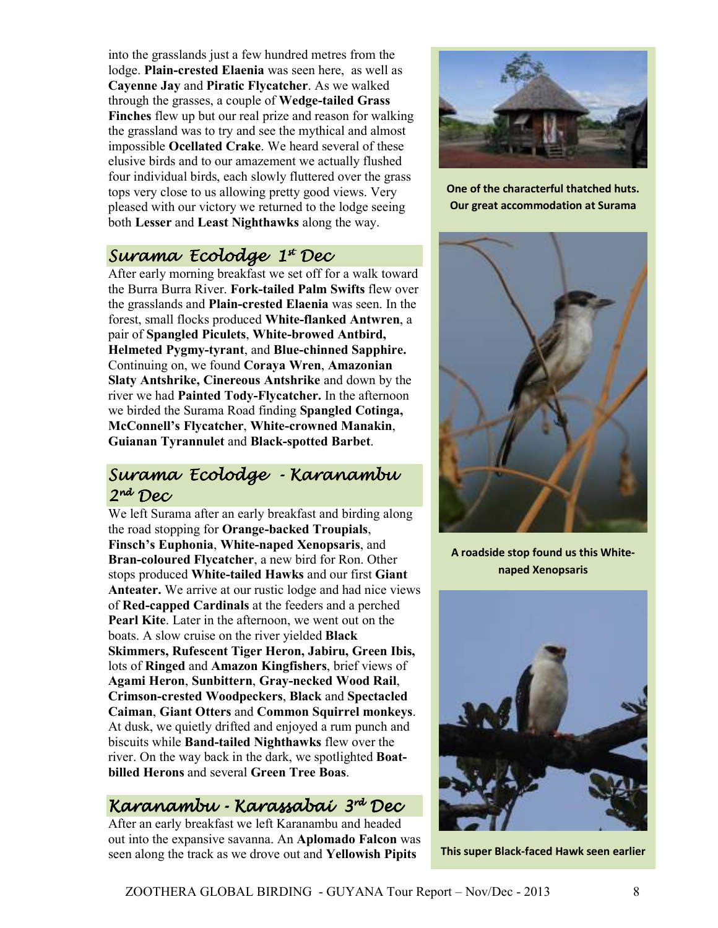into the grasslands just a few hundred metres from the lodge. **Plain-crested Elaenia** was seen here, as well as **Cayenne Jay** and **Piratic Flycatcher**. As we walked through the grasses, a couple of **Wedge-tailed Grass Finches** flew up but our real prize and reason for walking the grassland was to try and see the mythical and almost impossible **Ocellated Crake**. We heard several of these elusive birds and to our amazement we actually flushed four individual birds, each slowly fluttered over the grass tops very close to us allowing pretty good views. Very pleased with our victory we returned to the lodge seeing both **Lesser** and **Least Nighthawks** along the way.

# Surama Ecolodge 1ª Dec

After early morning breakfast we set off for a walk toward the Burra Burra River. **Fork-tailed Palm Swifts** flew over the grasslands and **Plain-crested Elaenia** was seen. In the forest, small flocks produced **White-flanked Antwren**, a pair of **Spangled Piculets**, **White-browed Antbird, Helmeted Pygmy-tyrant**, and **Blue-chinned Sapphire.**  Continuing on, we found **Coraya Wren**, **Amazonian Slaty Antshrike, Cinereous Antshrike** and down by the river we had **Painted Tody-Flycatcher.** In the afternoon we birded the Surama Road finding **Spangled Cotinga, McConnell's Flycatcher**, **White-crowned Manakin**, **Guianan Tyrannulet** and **Black-spotted Barbet**.

# Surama Ecolodge - Karanambu 2nd Dec

We left Surama after an early breakfast and birding along the road stopping for **Orange-backed Troupials**, **Finsch's Euphonia**, **White-naped Xenopsaris**, and **Bran-coloured Flycatcher**, a new bird for Ron. Other stops produced **White-tailed Hawks** and our first **Giant Anteater.** We arrive at our rustic lodge and had nice views of **Red-capped Cardinals** at the feeders and a perched **Pearl Kite**. Later in the afternoon, we went out on the boats. A slow cruise on the river yielded **Black Skimmers, Rufescent Tiger Heron, Jabiru, Green Ibis,**  lots of **Ringed** and **Amazon Kingfishers**, brief views of **Agami Heron**, **Sunbittern**, **Gray-necked Wood Rail**, **Crimson-crested Woodpeckers**, **Black** and **Spectacled Caiman**, **Giant Otters** and **Common Squirrel monkeys**. At dusk, we quietly drifted and enjoyed a rum punch and biscuits while **Band-tailed Nighthawks** flew over the river. On the way back in the dark, we spotlighted **Boatbilled Herons** and several **Green Tree Boas**.

# Karanambu - Karassabaí 3<sup>rd</sup> Dec

After an early breakfast we left Karanambu and headed out into the expansive savanna. An **Aplomado Falcon** was seen along the track as we drove out and **Yellowish Pipits**



**One of the characterful thatched huts. Our great accommodation at Surama** 



**A roadside stop found us this Whitenaped Xenopsaris** 



**This super Black-faced Hawk seen earlier**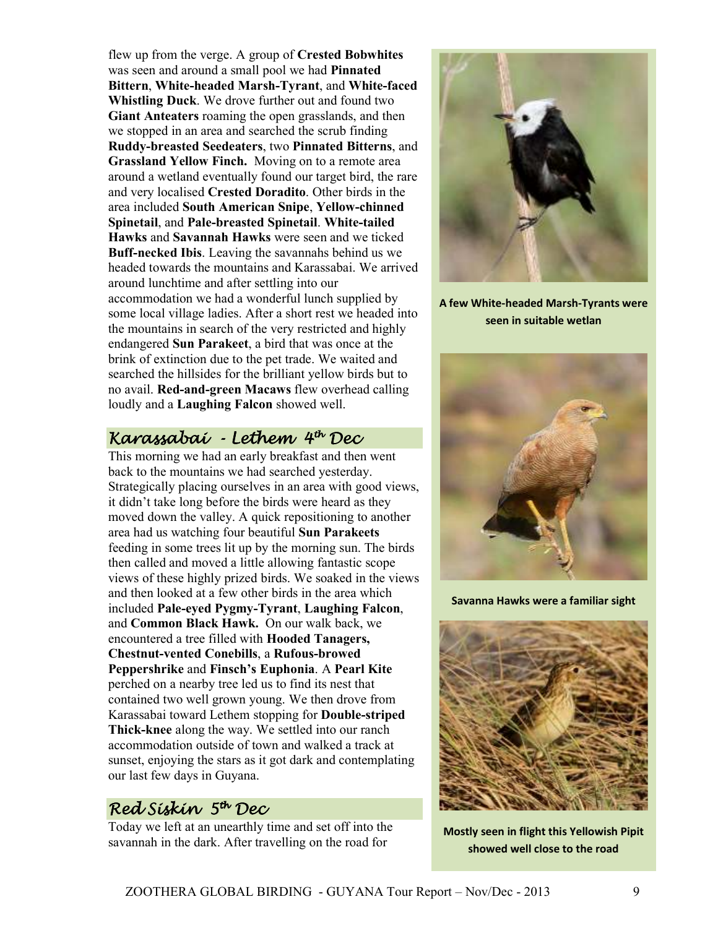flew up from the verge. A group of **Crested Bobwhites** was seen and around a small pool we had **Pinnated Bittern**, **White-headed Marsh-Tyrant**, and **White-faced Whistling Duck**. We drove further out and found two **Giant Anteaters** roaming the open grasslands, and then we stopped in an area and searched the scrub finding **Ruddy-breasted Seedeaters**, two **Pinnated Bitterns**, and **Grassland Yellow Finch.** Moving on to a remote area around a wetland eventually found our target bird, the rare and very localised **Crested Doradito**. Other birds in the area included **South American Snipe**, **Yellow-chinned Spinetail**, and **Pale-breasted Spinetail**. **White-tailed Hawks** and **Savannah Hawks** were seen and we ticked **Buff-necked Ibis**. Leaving the savannahs behind us we headed towards the mountains and Karassabai. We arrived around lunchtime and after settling into our accommodation we had a wonderful lunch supplied by some local village ladies. After a short rest we headed into the mountains in search of the very restricted and highly endangered **Sun Parakeet**, a bird that was once at the brink of extinction due to the pet trade. We waited and searched the hillsides for the brilliant yellow birds but to no avail. **Red-and-green Macaws** flew overhead calling loudly and a **Laughing Falcon** showed well.

# Karassabaí - Lethem 4<sup>th</sup> Dec

This morning we had an early breakfast and then went back to the mountains we had searched yesterday. Strategically placing ourselves in an area with good views, it didn't take long before the birds were heard as they moved down the valley. A quick repositioning to another area had us watching four beautiful **Sun Parakeets** feeding in some trees lit up by the morning sun. The birds then called and moved a little allowing fantastic scope views of these highly prized birds. We soaked in the views and then looked at a few other birds in the area which included **Pale-eyed Pygmy-Tyrant**, **Laughing Falcon**, and **Common Black Hawk.** On our walk back, we encountered a tree filled with **Hooded Tanagers, Chestnut-vented Conebills**, a **Rufous-browed Peppershrike** and **Finsch's Euphonia**. A **Pearl Kite** perched on a nearby tree led us to find its nest that contained two well grown young. We then drove from Karassabai toward Lethem stopping for **Double-striped Thick-knee** along the way. We settled into our ranch accommodation outside of town and walked a track at sunset, enjoying the stars as it got dark and contemplating our last few days in Guyana.

# Red Siskin 5th Dec

Today we left at an unearthly time and set off into the savannah in the dark. After travelling on the road for



**A few White-headed Marsh-Tyrants were seen in suitable wetlan** 



**Savanna Hawks were a familiar sight** 



**Mostly seen in flight this Yellowish Pipit showed well close to the road**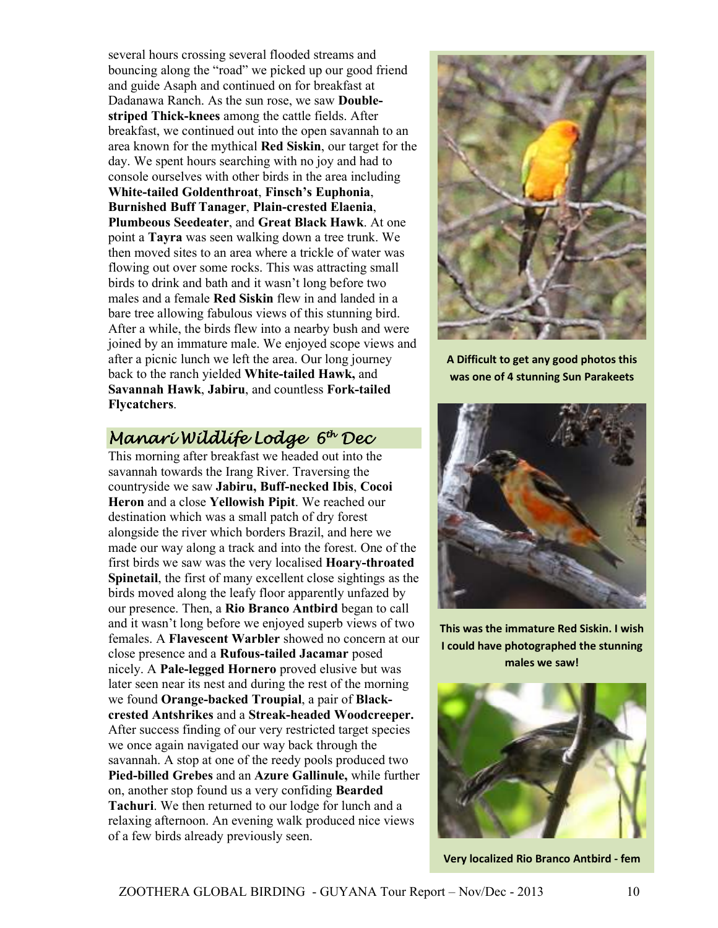several hours crossing several flooded streams and bouncing along the "road" we picked up our good friend and guide Asaph and continued on for breakfast at Dadanawa Ranch. As the sun rose, we saw **Doublestriped Thick-knees** among the cattle fields. After breakfast, we continued out into the open savannah to an area known for the mythical **Red Siskin**, our target for the day. We spent hours searching with no joy and had to console ourselves with other birds in the area including **White-tailed Goldenthroat**, **Finsch's Euphonia**, **Burnished Buff Tanager**, **Plain-crested Elaenia**, **Plumbeous Seedeater**, and **Great Black Hawk**. At one point a **Tayra** was seen walking down a tree trunk. We then moved sites to an area where a trickle of water was flowing out over some rocks. This was attracting small birds to drink and bath and it wasn't long before two males and a female **Red Siskin** flew in and landed in a bare tree allowing fabulous views of this stunning bird. After a while, the birds flew into a nearby bush and were joined by an immature male. We enjoyed scope views and after a picnic lunch we left the area. Our long journey back to the ranch yielded **White-tailed Hawk,** and **Savannah Hawk**, **Jabiru**, and countless **Fork-tailed Flycatchers**.



**A Difficult to get any good photos this was one of 4 stunning Sun Parakeets** 

# Manari Wildlife Lodge 6th Dec

This morning after breakfast we headed out into the savannah towards the Irang River. Traversing the countryside we saw **Jabiru, Buff-necked Ibis**, **Cocoi Heron** and a close **Yellowish Pipit**. We reached our destination which was a small patch of dry forest alongside the river which borders Brazil, and here we made our way along a track and into the forest. One of the first birds we saw was the very localised **Hoary-throated Spinetail**, the first of many excellent close sightings as the birds moved along the leafy floor apparently unfazed by our presence. Then, a **Rio Branco Antbird** began to call and it wasn't long before we enjoyed superb views of two females. A **Flavescent Warbler** showed no concern at our close presence and a **Rufous-tailed Jacamar** posed nicely. A **Pale-legged Hornero** proved elusive but was later seen near its nest and during the rest of the morning we found **Orange-backed Troupial**, a pair of **Blackcrested Antshrikes** and a **Streak-headed Woodcreeper.** After success finding of our very restricted target species we once again navigated our way back through the savannah. A stop at one of the reedy pools produced two **Pied-billed Grebes** and an **Azure Gallinule,** while further on, another stop found us a very confiding **Bearded Tachuri**. We then returned to our lodge for lunch and a relaxing afternoon. An evening walk produced nice views of a few birds already previously seen.



**This was the immature Red Siskin. I wish I could have photographed the stunning males we saw!** 



**Very localized Rio Branco Antbird - fem**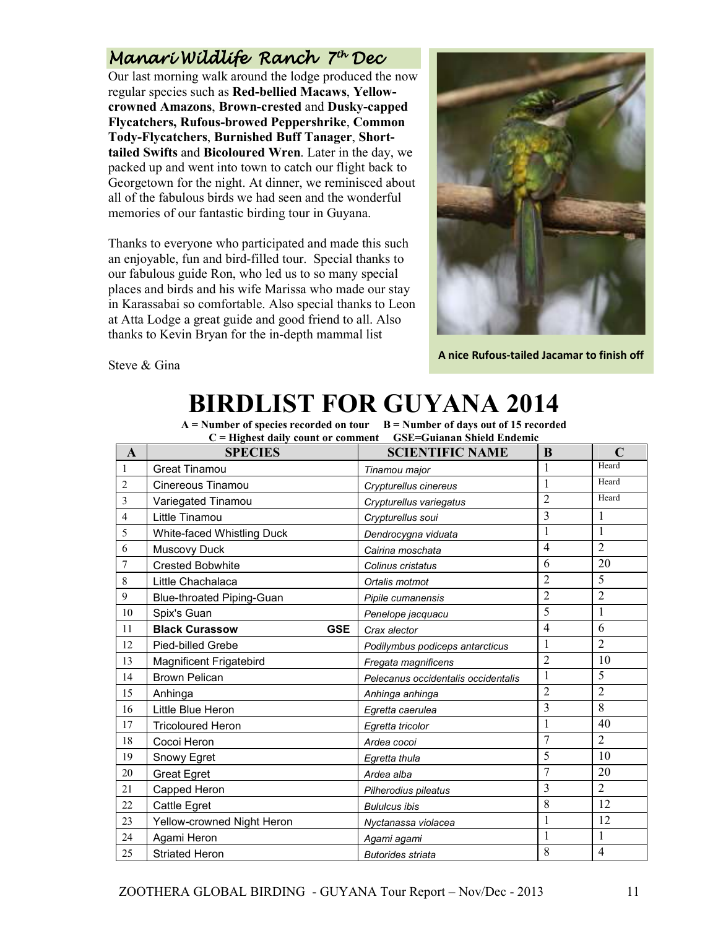# Manarí Wíldlífe Ranch 7<sup>th</sup> Dec

Our last morning walk around the lodge produced the now regular species such as **Red-bellied Macaws**, **Yellowcrowned Amazons**, **Brown-crested** and **Dusky-capped Flycatchers, Rufous-browed Peppershrike**, **Common Tody-Flycatchers**, **Burnished Buff Tanager**, **Shorttailed Swifts** and **Bicoloured Wren**. Later in the day, we packed up and went into town to catch our flight back to Georgetown for the night. At dinner, we reminisced about all of the fabulous birds we had seen and the wonderful memories of our fantastic birding tour in Guyana.

Thanks to everyone who participated and made this such an enjoyable, fun and bird-filled tour. Special thanks to our fabulous guide Ron, who led us to so many special places and birds and his wife Marissa who made our stay in Karassabai so comfortable. Also special thanks to Leon at Atta Lodge a great guide and good friend to all. Also thanks to Kevin Bryan for the in-depth mammal list



**A nice Rufous-tailed Jacamar to finish off** 

Steve & Gina

# **BIRDLIST FOR GUYANA 2014**

 $A =$  Number of species recorded on tour  $B =$  Number of days out of 15 recorded **C = Highest daily count or comment GSE=Guianan Shield Endemic** 

| A              | <b>SPECIES</b>                      | <b>SCIENTIFIC NAME</b>              | B              | $\mathbf C$    |
|----------------|-------------------------------------|-------------------------------------|----------------|----------------|
| 1              | <b>Great Tinamou</b>                | Tinamou major                       | 1              | Heard          |
| $\overline{c}$ | Cinereous Tinamou                   | Crypturellus cinereus               | 1              | Heard          |
| 3              | Variegated Tinamou                  | Crypturellus variegatus             | $\overline{2}$ | Heard          |
| 4              | Little Tinamou                      | Crypturellus soui                   | $\overline{3}$ | $\mathbf{1}$   |
| 5              | White-faced Whistling Duck          | Dendrocygna viduata                 | 1              | $\mathbf{1}$   |
| 6              | Muscovy Duck                        | Cairina moschata                    | $\overline{4}$ | $\overline{2}$ |
| 7              | <b>Crested Bobwhite</b>             | Colinus cristatus                   | 6              | 20             |
| 8              | Little Chachalaca                   | Ortalis motmot                      | $\overline{2}$ | 5              |
| 9              | <b>Blue-throated Piping-Guan</b>    | Pipile cumanensis                   | $\overline{2}$ | $\overline{2}$ |
| 10             | Spix's Guan                         | Penelope jacquacu                   | 5              | 1              |
| 11             | <b>Black Curassow</b><br><b>GSE</b> | Crax alector                        | $\overline{4}$ | 6              |
| 12             | Pied-billed Grebe                   | Podilymbus podiceps antarcticus     | 1              | $\overline{2}$ |
| 13             | <b>Magnificent Frigatebird</b>      | Fregata magnificens                 | $\overline{2}$ | 10             |
| 14             | <b>Brown Pelican</b>                | Pelecanus occidentalis occidentalis | 1              | 5              |
| 15             | Anhinga                             | Anhinga anhinga                     | $\overline{2}$ | $\overline{2}$ |
| 16             | Little Blue Heron                   | Egretta caerulea                    | 3              | 8              |
| 17             | <b>Tricoloured Heron</b>            | Egretta tricolor                    | 1              | 40             |
| 18             | Cocoi Heron                         | Ardea cocoi                         | 7              | $\overline{2}$ |
| 19             | Snowy Egret                         | Egretta thula                       | 5              | 10             |
| 20             | <b>Great Egret</b>                  | Ardea alba                          | $\overline{7}$ | 20             |
| 21             | Capped Heron                        | Pilherodius pileatus                | 3              | $\overline{2}$ |
| 22             | Cattle Egret                        | <b>Bululcus ibis</b>                | 8              | 12             |
| 23             | Yellow-crowned Night Heron          | Nyctanassa violacea                 | 1              | 12             |
| 24             | Agami Heron                         | Agami agami                         | 1              | 1              |
| 25             | <b>Striated Heron</b>               | <b>Butorides striata</b>            | 8              | 4              |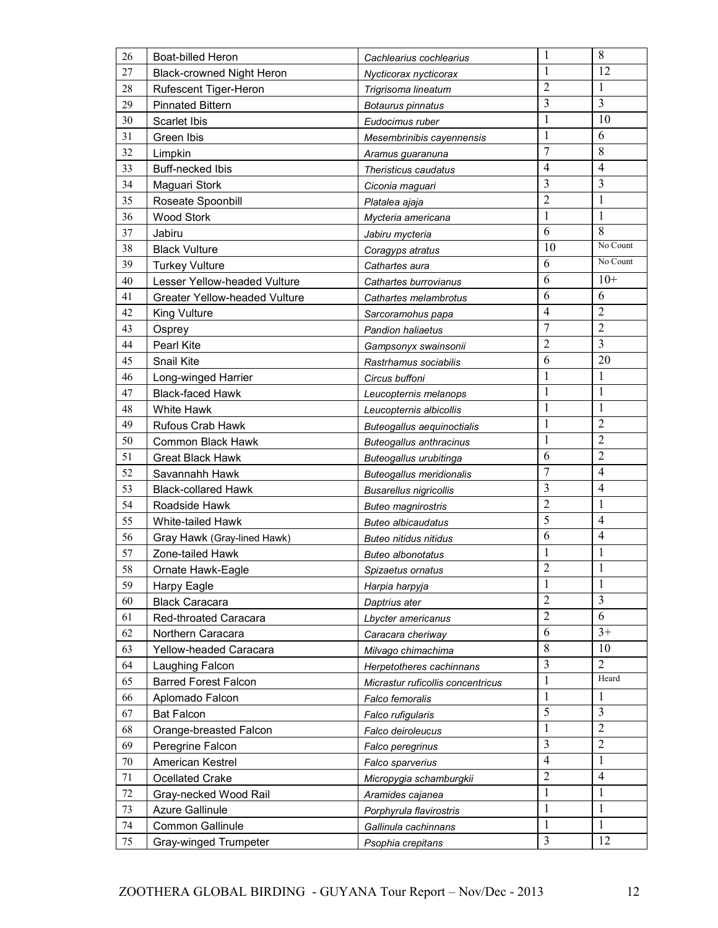| 26     | <b>Boat-billed Heron</b>             | Cachlearius cochlearius           | $\mathbf{1}$   | 8              |
|--------|--------------------------------------|-----------------------------------|----------------|----------------|
| 27     | <b>Black-crowned Night Heron</b>     | Nycticorax nycticorax             | 1              | 12             |
| 28     | Rufescent Tiger-Heron                | Trigrisoma lineatum               | $\overline{2}$ | 1              |
| 29     | <b>Pinnated Bittern</b>              | Botaurus pinnatus                 | 3              | 3              |
| 30     | <b>Scarlet Ibis</b>                  | Eudocimus ruber                   | $\mathbf{1}$   | 10             |
| 31     | Green Ibis                           | Mesembrinibis cayennensis         | $\mathbf{1}$   | 6              |
| 32     | Limpkin                              | Aramus guaranuna                  | $\overline{7}$ | 8              |
| 33     | <b>Buff-necked Ibis</b>              | Theristicus caudatus              | $\overline{4}$ | $\overline{4}$ |
| 34     | Maguari Stork                        | Ciconia maguari                   | 3              | 3              |
| 35     | Roseate Spoonbill                    | Platalea ajaja                    | $\overline{2}$ | 1              |
| 36     | <b>Wood Stork</b>                    | Mycteria americana                | $\mathbf{1}$   | $\mathbf{1}$   |
| 37     | Jabiru                               | Jabiru mycteria                   | 6              | 8              |
| 38     | <b>Black Vulture</b>                 | Coragyps atratus                  | 10             | No Count       |
| 39     | <b>Turkey Vulture</b>                | Cathartes aura                    | 6              | No Count       |
| 40     | Lesser Yellow-headed Vulture         | Cathartes burrovianus             | 6              | $10+$          |
| 41     | <b>Greater Yellow-headed Vulture</b> | Cathartes melambrotus             | 6              | 6              |
| 42     | King Vulture                         | Sarcoramohus papa                 | $\overline{4}$ | $\overline{2}$ |
| 43     | Osprey                               | <b>Pandion haliaetus</b>          | $\tau$         | $\overline{2}$ |
| 44     | <b>Pearl Kite</b>                    | Gampsonyx swainsonii              | $\overline{2}$ | 3              |
| 45     | Snail Kite                           | Rastrhamus sociabilis             | 6              | 20             |
| 46     | Long-winged Harrier                  | Circus buffoni                    | $\mathbf{1}$   | 1              |
| 47     | <b>Black-faced Hawk</b>              | Leucopternis melanops             | $\mathbf{1}$   | $\mathbf{1}$   |
| 48     | <b>White Hawk</b>                    | Leucopternis albicollis           | $\mathbf{1}$   | 1              |
| 49     | Rufous Crab Hawk                     | Buteogallus aequinoctialis        | $\mathbf{1}$   | $\overline{2}$ |
| 50     | Common Black Hawk                    | <b>Buteogallus anthracinus</b>    | $\mathbf{1}$   | $\overline{2}$ |
| 51     | <b>Great Black Hawk</b>              | Buteogallus urubitinga            | 6              | $\overline{c}$ |
| 52     | Savannahh Hawk                       | <b>Buteogallus meridionalis</b>   | 7              | 4              |
| 53     | <b>Black-collared Hawk</b>           | <b>Busarellus nigricollis</b>     | 3              | $\overline{4}$ |
| 54     | Roadside Hawk                        | <b>Buteo magnirostris</b>         | $\overline{2}$ | $\mathbf 1$    |
| 55     | White-tailed Hawk                    | <b>Buteo albicaudatus</b>         | 5              | $\overline{4}$ |
| 56     | Gray Hawk (Gray-lined Hawk)          | <b>Buteo nitidus nitidus</b>      | 6              | $\overline{4}$ |
| 57     | Zone-tailed Hawk                     | <b>Buteo albonotatus</b>          | $\mathbf{1}$   | $\mathbf{1}$   |
| 58     | Ornate Hawk-Eagle                    | Spizaetus ornatus                 | $\overline{2}$ | 1              |
| 59     | Harpy Eagle                          | Harpia harpyja                    | 1              | 1              |
| 60     | <b>Black Caracara</b>                | Daptrius ater                     | $\overline{2}$ | 3              |
| 61     | Red-throated Caracara                | Lbycter americanus                | $\overline{2}$ | 6              |
| 62     | Northern Caracara                    | Caracara cheriway                 | 6              | $3+$           |
| 63     | Yellow-headed Caracara               | Milvago chimachima                | 8              | 10             |
| 64     | Laughing Falcon                      | Herpetotheres cachinnans          | 3              | $\overline{2}$ |
| 65     | <b>Barred Forest Falcon</b>          | Micrastur ruficollis concentricus | 1              | Heard          |
| 66     | Aplomado Falcon                      | Falco femoralis                   | 1              | 1              |
| 67     | <b>Bat Falcon</b>                    | Falco rufigularis                 | 5              | 3              |
| 68     | Orange-breasted Falcon               | Falco deiroleucus                 | 1              | $\overline{2}$ |
| 69     | Peregrine Falcon                     | Falco peregrinus                  | 3              | $\overline{2}$ |
| $70\,$ | American Kestrel                     | Falco sparverius                  | $\overline{4}$ | $\mathbf{1}$   |
| 71     | <b>Ocellated Crake</b>               | Micropygia schamburgkii           | $\overline{2}$ | $\overline{4}$ |
| 72     | Gray-necked Wood Rail                | Aramides cajanea                  | $\mathbf{1}$   | $\mathbf{1}$   |
| 73     | <b>Azure Gallinule</b>               | Porphyrula flavirostris           | 1              | 1              |
| 74     | Common Gallinule                     | Gallinula cachinnans              | $\mathbf{1}$   | 1              |
| 75     | Gray-winged Trumpeter                | Psophia crepitans                 | $\overline{3}$ | 12             |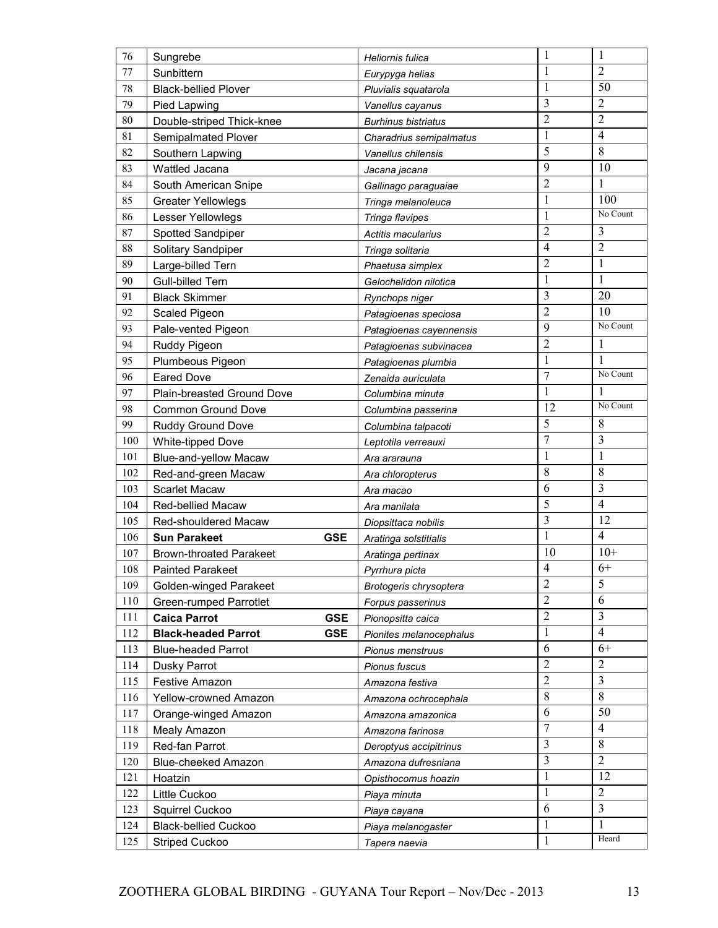| 76  | Sungrebe                                 | Heliornis fulica           | $\mathbf{1}$            | 1              |
|-----|------------------------------------------|----------------------------|-------------------------|----------------|
| 77  | Sunbittern                               | Eurypyga helias            | $\mathbf{1}$            | $\overline{2}$ |
| 78  | <b>Black-bellied Plover</b>              | Pluvialis squatarola       | $\mathbf{1}$            | 50             |
| 79  | Pied Lapwing                             | Vanellus cayanus           | 3                       | $\overline{2}$ |
| 80  | Double-striped Thick-knee                | <b>Burhinus bistriatus</b> | $\overline{2}$          | $\overline{2}$ |
| 81  | Semipalmated Plover                      | Charadrius semipalmatus    | $\mathbf{1}$            | $\overline{4}$ |
| 82  | Southern Lapwing                         | Vanellus chilensis         | 5                       | 8              |
| 83  | Wattled Jacana                           | Jacana jacana              | 9                       | 10             |
| 84  | South American Snipe                     | Gallinago paraguaiae       | $\overline{2}$          | 1              |
| 85  | <b>Greater Yellowlegs</b>                | Tringa melanoleuca         | $\mathbf{1}$            | 100            |
| 86  | Lesser Yellowlegs                        | Tringa flavipes            | $\mathbf{1}$            | No Count       |
| 87  | Spotted Sandpiper                        | Actitis macularius         | $\overline{2}$          | $\mathfrak{Z}$ |
| 88  | Solitary Sandpiper                       | Tringa solitaria           | $\overline{4}$          | $\overline{2}$ |
| 89  | Large-billed Tern                        | Phaetusa simplex           | $\overline{2}$          | $\mathbf{1}$   |
| 90  | Gull-billed Tern                         | Gelochelidon nilotica      | $\mathbf{1}$            | $\mathbf{1}$   |
| 91  | <b>Black Skimmer</b>                     | Rynchops niger             | 3                       | 20             |
| 92  | Scaled Pigeon                            | Patagioenas speciosa       | $\overline{2}$          | 10             |
| 93  | Pale-vented Pigeon                       | Patagioenas cayennensis    | 9                       | No Count       |
| 94  | Ruddy Pigeon                             | Patagioenas subvinacea     | $\overline{2}$          | $\mathbf{1}$   |
| 95  | Plumbeous Pigeon                         | Patagioenas plumbia        | $\mathbf{1}$            | $\mathbf{1}$   |
| 96  | <b>Eared Dove</b>                        | Zenaida auriculata         | $\overline{7}$          | No Count       |
| 97  | Plain-breasted Ground Dove               | Columbina minuta           | $\mathbf{1}$            | 1              |
| 98  | <b>Common Ground Dove</b>                | Columbina passerina        | 12                      | No Count       |
| 99  | Ruddy Ground Dove                        | Columbina talpacoti        | 5                       | 8              |
| 100 | White-tipped Dove                        | Leptotila verreauxi        | $\overline{7}$          | 3              |
| 101 | Blue-and-yellow Macaw                    | Ara ararauna               | $\mathbf{1}$            | $\mathbf{1}$   |
| 102 | Red-and-green Macaw                      | Ara chloropterus           | 8                       | 8              |
| 103 | <b>Scarlet Macaw</b>                     | Ara macao                  | 6                       | 3              |
| 104 | Red-bellied Macaw                        | Ara manilata               | 5                       | $\overline{4}$ |
| 105 | Red-shouldered Macaw                     | Diopsittaca nobilis        | $\overline{\mathbf{3}}$ | 12             |
| 106 | <b>GSE</b><br><b>Sun Parakeet</b>        | Aratinga solstitialis      | $\mathbf{1}$            | $\overline{4}$ |
| 107 | <b>Brown-throated Parakeet</b>           | Aratinga pertinax          | 10                      | $10+$          |
| 108 | <b>Painted Parakeet</b>                  | Pyrrhura picta             | $\overline{4}$          | $6+$           |
| 109 | Golden-winged Parakeet                   | Brotogeris chrysoptera     | $\overline{2}$          | 5              |
| 110 | <b>Green-rumped Parrotlet</b>            | Forpus passerinus          | $\overline{2}$          | 6              |
| 111 | <b>Caica Parrot</b><br><b>GSE</b>        | Pionopsitta caica          | $\overline{2}$          | $\overline{3}$ |
| 112 | <b>Black-headed Parrot</b><br><b>GSE</b> | Pionites melanocephalus    | $\mathbf{1}$            | $\overline{4}$ |
| 113 | <b>Blue-headed Parrot</b>                | Pionus menstruus           | 6                       | $6+$           |
| 114 | Dusky Parrot                             | Pionus fuscus              | $\overline{2}$          | $\overline{2}$ |
| 115 | Festive Amazon                           | Amazona festiva            | $\overline{2}$          | $\overline{3}$ |
| 116 | Yellow-crowned Amazon                    | Amazona ochrocephala       | $\,8\,$                 | $\,8\,$        |
| 117 | Orange-winged Amazon                     | Amazona amazonica          | 6                       | 50             |
| 118 | Mealy Amazon                             | Amazona farinosa           | $\overline{7}$          | $\overline{4}$ |
| 119 | Red-fan Parrot                           | Deroptyus accipitrinus     | 3                       | 8              |
| 120 | Blue-cheeked Amazon                      | Amazona dufresniana        | 3                       | $\overline{2}$ |
| 121 | Hoatzin                                  | Opisthocomus hoazin        | $\mathbf{1}$            | 12             |
| 122 | Little Cuckoo                            | Piaya minuta               | $\mathbf{1}$            | $\overline{2}$ |
| 123 | Squirrel Cuckoo                          | Piaya cayana               | 6                       | $\overline{3}$ |
| 124 | <b>Black-bellied Cuckoo</b>              | Piaya melanogaster         | $\mathbf{1}$            | $\mathbf{1}$   |
| 125 | <b>Striped Cuckoo</b>                    | Tapera naevia              | $\mathbf{1}$            | Heard          |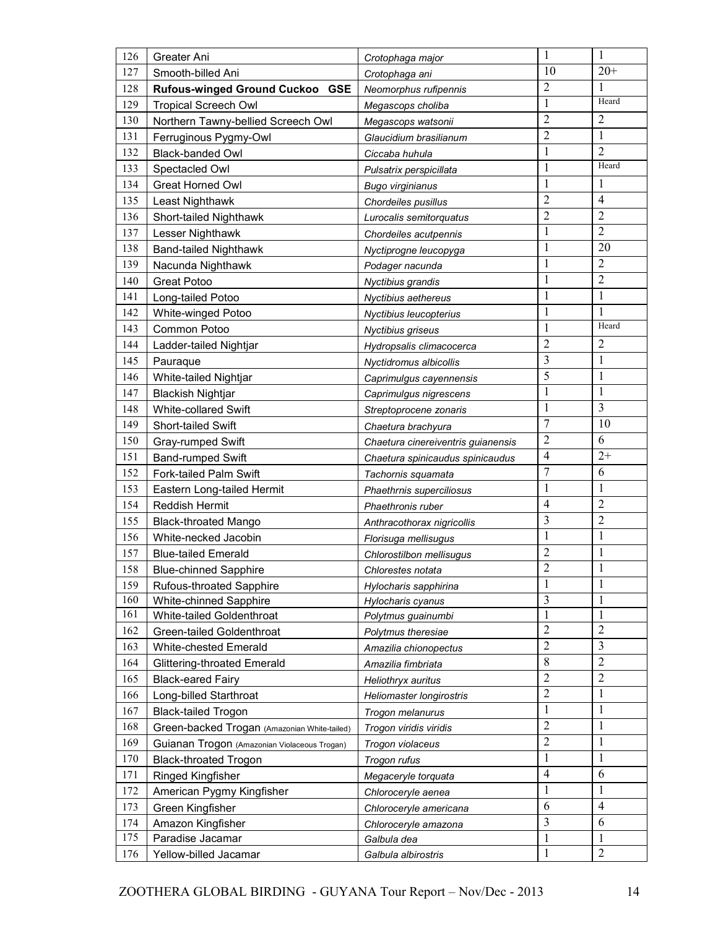| 126        | Greater Ani                                  | Crotophaga major                   | $\mathbf{1}$        | 1                                |
|------------|----------------------------------------------|------------------------------------|---------------------|----------------------------------|
| 127        | Smooth-billed Ani                            | Crotophaga ani                     | 10                  | $20+$                            |
| 128        | Rufous-winged Ground Cuckoo GSE              | Neomorphus rufipennis              | $\overline{2}$      | 1                                |
| 129        | <b>Tropical Screech Owl</b>                  | Megascops choliba                  | $\mathbf{1}$        | Heard                            |
| 130        | Northern Tawny-bellied Screech Owl           | Megascops watsonii                 | $\overline{2}$      | $\overline{2}$                   |
| 131        | Ferruginous Pygmy-Owl                        | Glaucidium brasilianum             | $\overline{2}$      | $\mathbf{1}$                     |
| 132        | <b>Black-banded Owl</b>                      | Ciccaba huhula                     | $\mathbf{1}$        | $\overline{2}$                   |
| 133        | Spectacled Owl                               | Pulsatrix perspicillata            | $\mathbf{1}$        | Heard                            |
| 134        | <b>Great Horned Owl</b>                      | <b>Bugo virginianus</b>            | 1                   | 1                                |
| 135        | Least Nighthawk                              | Chordeiles pusillus                | $\overline{c}$      | $\overline{4}$                   |
| 136        | Short-tailed Nighthawk                       | Lurocalis semitorquatus            | $\overline{c}$      | $\sqrt{2}$                       |
| 137        | Lesser Nighthawk                             | Chordeiles acutpennis              | $\mathbf{1}$        | $\overline{2}$                   |
| 138        | <b>Band-tailed Nighthawk</b>                 | Nyctiprogne leucopyga              | $\mathbf{1}$        | 20                               |
| 139        | Nacunda Nighthawk                            | Podager nacunda                    | $\mathbf{1}$        | $\overline{2}$                   |
| 140        | <b>Great Potoo</b>                           | Nyctibius grandis                  | $\mathbf{1}$        | $\sqrt{2}$                       |
| 141        | Long-tailed Potoo                            | Nyctibius aethereus                | $\mathbf{1}$        | $\mathbf{1}$                     |
| 142        | White-winged Potoo                           | Nyctibius leucopterius             | $\mathbf{1}$        | 1                                |
| 143        | Common Potoo                                 | Nyctibius griseus                  | $\mathbf{1}$        | Heard                            |
| 144        | Ladder-tailed Nightjar                       | Hydropsalis climacocerca           | $\overline{2}$      | $\overline{2}$                   |
| 145        | Pauraque                                     | Nyctidromus albicollis             | 3                   | $\mathbf{1}$                     |
| 146        | White-tailed Nightjar                        | Caprimulgus cayennensis            | 5                   | 1                                |
| 147        | <b>Blackish Nightjar</b>                     | Caprimulgus nigrescens             | $\mathbf{1}$        | $\mathbf{1}$                     |
| 148        | White-collared Swift                         | Streptoprocene zonaris             | $\mathbf{1}$        | 3                                |
| 149        | Short-tailed Swift                           | Chaetura brachyura                 | $\overline{7}$      | 10                               |
| 150        | Gray-rumped Swift                            | Chaetura cinereiventris guianensis | $\overline{c}$      | 6                                |
| 151        | Band-rumped Swift                            | Chaetura spinicaudus spinicaudus   | $\overline{4}$      | $2+$                             |
| 152        | Fork-tailed Palm Swift                       | Tachornis squamata                 | $\overline{7}$      | 6                                |
| 153        | Eastern Long-tailed Hermit                   | Phaethrnis superciliosus           | $\mathbf{1}$        | $\mathbf{1}$                     |
| 154        | <b>Reddish Hermit</b>                        | Phaethronis ruber                  | $\overline{4}$      | $\overline{2}$                   |
| 155        | <b>Black-throated Mango</b>                  | Anthracothorax nigricollis         | 3                   | $\overline{2}$                   |
| 156        | White-necked Jacobin                         | Florisuga mellisugus               | $\mathbf{1}$        | $\mathbf{1}$                     |
| 157        | <b>Blue-tailed Emerald</b>                   | Chlorostilbon mellisugus           | $\overline{c}$      | $\mathbf{1}$                     |
| 158        | <b>Blue-chinned Sapphire</b>                 | Chlorestes notata                  | $\overline{c}$      | 1                                |
| 159        | Rufous-throated Sapphire                     | Hylocharis sapphirina              | 1                   | 1                                |
| 160        | White-chinned Sapphire                       | Hylocharis cyanus                  | 3                   | 1                                |
| 161        | White-tailed Goldenthroat                    | Polytmus guainumbi                 | 1                   | 1                                |
| 162        | Green-tailed Goldenthroat                    | Polytmus theresiae                 | $\overline{2}$      | $\overline{2}$                   |
| 163        | White-chested Emerald                        | Amazilia chionopectus              | $\overline{2}$<br>8 | $\mathfrak{Z}$<br>$\overline{2}$ |
| 164        | <b>Glittering-throated Emerald</b>           | Amazilia fimbriata                 | $\overline{2}$      |                                  |
| 165        | <b>Black-eared Fairy</b>                     | Heliothryx auritus                 | $\overline{2}$      | $\overline{2}$                   |
| 166        | Long-billed Starthroat                       | Heliomaster longirostris           |                     | $\mathbf{1}$                     |
| 167        | <b>Black-tailed Trogon</b>                   | Trogon melanurus                   | 1<br>$\overline{2}$ | 1                                |
| 168        | Green-backed Trogan (Amazonian White-tailed) | Trogon viridis viridis             | $\overline{2}$      | $\mathbf{1}$                     |
| 169        | Guianan Trogon (Amazonian Violaceous Trogan) | Trogon violaceus                   | $\mathbf{1}$        | 1<br>$\mathbf{1}$                |
| 170        | <b>Black-throated Trogon</b>                 | Trogon rufus                       | $\overline{4}$      | 6                                |
| 171        | Ringed Kingfisher                            | Megaceryle torquata                | $\mathbf{1}$        | 1                                |
| 172        | American Pygmy Kingfisher                    | Chloroceryle aenea                 | 6                   | $\overline{4}$                   |
| 173        | Green Kingfisher                             | Chloroceryle americana             | 3                   | 6                                |
| 174<br>175 | Amazon Kingfisher                            | Chloroceryle amazona               | $\mathbf{1}$        | 1                                |
|            | Paradise Jacamar                             | Galbula dea                        | $\mathbf{1}$        | $\overline{2}$                   |
| 176        | Yellow-billed Jacamar                        | Galbula albirostris                |                     |                                  |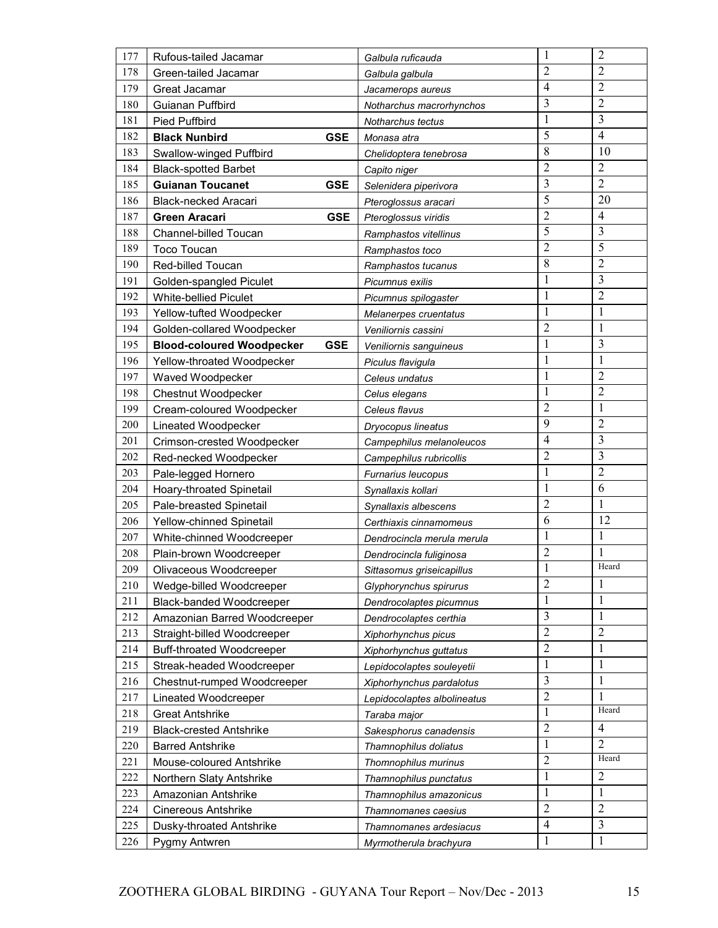| 177 | Rufous-tailed Jacamar                          | Galbula ruficauda           | $\mathbf{1}$   | $\overline{2}$ |
|-----|------------------------------------------------|-----------------------------|----------------|----------------|
| 178 | Green-tailed Jacamar                           | Galbula galbula             | $\overline{2}$ | 2              |
| 179 | Great Jacamar                                  | Jacamerops aureus           | $\overline{4}$ | $\overline{2}$ |
| 180 | Guianan Puffbird                               | Notharchus macrorhynchos    | 3              | $\overline{2}$ |
| 181 | <b>Pied Puffbird</b>                           | Notharchus tectus           | $\mathbf{1}$   | $\mathfrak{Z}$ |
| 182 | <b>GSE</b><br><b>Black Nunbird</b>             | Monasa atra                 | 5              | $\overline{4}$ |
| 183 | Swallow-winged Puffbird                        | Chelidoptera tenebrosa      | 8              | 10             |
| 184 | <b>Black-spotted Barbet</b>                    | Capito niger                | $\overline{c}$ | $\overline{2}$ |
| 185 | <b>Guianan Toucanet</b><br><b>GSE</b>          | Selenidera piperivora       | 3              | $\overline{2}$ |
| 186 | Black-necked Aracari                           | Pteroglossus aracari        | 5              | 20             |
| 187 | <b>GSE</b><br>Green Aracari                    | Pteroglossus viridis        | $\overline{2}$ | 4              |
| 188 | Channel-billed Toucan                          | Ramphastos vitellinus       | 5              | $\mathfrak{Z}$ |
| 189 | <b>Toco Toucan</b>                             | Ramphastos toco             | $\overline{2}$ | 5              |
| 190 | Red-billed Toucan                              | Ramphastos tucanus          | 8              | $\overline{2}$ |
| 191 | Golden-spangled Piculet                        | Picumnus exilis             | 1              | 3              |
| 192 | <b>White-bellied Piculet</b>                   | Picumnus spilogaster        | 1              | $\overline{2}$ |
| 193 | Yellow-tufted Woodpecker                       | Melanerpes cruentatus       | $\mathbf{1}$   | $\mathbf{1}$   |
| 194 | Golden-collared Woodpecker                     | Veniliornis cassini         | $\overline{2}$ | $\mathbf{1}$   |
| 195 | <b>Blood-coloured Woodpecker</b><br><b>GSE</b> | Veniliornis sanguineus      | $\mathbf{1}$   | 3              |
| 196 | Yellow-throated Woodpecker                     | Piculus flavigula           | 1              | 1              |
| 197 | Waved Woodpecker                               | Celeus undatus              | $\mathbf{1}$   | $\overline{2}$ |
| 198 | Chestnut Woodpecker                            | Celus elegans               | 1              | $\overline{2}$ |
| 199 | Cream-coloured Woodpecker                      | Celeus flavus               | $\overline{2}$ | $\mathbf{1}$   |
| 200 | Lineated Woodpecker                            | Dryocopus lineatus          | 9              | $\overline{2}$ |
| 201 | Crimson-crested Woodpecker                     | Campephilus melanoleucos    | $\overline{4}$ | 3              |
| 202 | Red-necked Woodpecker                          | Campephilus rubricollis     | $\overline{c}$ | 3              |
| 203 | Pale-legged Hornero                            | <b>Furnarius leucopus</b>   | $\mathbf{1}$   | $\overline{2}$ |
| 204 | Hoary-throated Spinetail                       | Synallaxis kollari          | $\mathbf{1}$   | 6              |
| 205 | Pale-breasted Spinetail                        | Synallaxis albescens        | $\overline{2}$ | 1              |
| 206 | Yellow-chinned Spinetail                       | Certhiaxis cinnamomeus      | 6              | 12             |
| 207 | White-chinned Woodcreeper                      | Dendrocincla merula merula  | 1              | $\mathbf{1}$   |
| 208 | Plain-brown Woodcreeper                        | Dendrocincla fuliginosa     | $\overline{2}$ | $\mathbf{1}$   |
| 209 | Olivaceous Woodcreeper                         | Sittasomus griseicapillus   | $\mathbf{1}$   | Heard          |
| 210 | Wedge-billed Woodcreeper                       | Glyphorynchus spirurus      | $\overline{2}$ | $\mathbf{1}$   |
| 211 | Black-banded Woodcreeper                       | Dendrocolaptes picumnus     | $\mathbf{1}$   | $\mathbf{1}$   |
| 212 | Amazonian Barred Woodcreeper                   | Dendrocolaptes certhia      | 3              | $\mathbf{1}$   |
| 213 | Straight-billed Woodcreeper                    | Xiphorhynchus picus         | $\overline{2}$ | $\mathbf{2}$   |
| 214 | Buff-throated Woodcreeper                      | Xiphorhynchus guttatus      | $\overline{2}$ | $\mathbf{1}$   |
| 215 | Streak-headed Woodcreeper                      | Lepidocolaptes souleyetii   | $\mathbf{1}$   | $\mathbf{1}$   |
| 216 | Chestnut-rumped Woodcreeper                    | Xiphorhynchus pardalotus    | 3              | $\mathbf{1}$   |
| 217 | Lineated Woodcreeper                           | Lepidocolaptes albolineatus | $\overline{2}$ | 1              |
| 218 | <b>Great Antshrike</b>                         | Taraba major                | 1              | Heard          |
| 219 | <b>Black-crested Antshrike</b>                 | Sakesphorus canadensis      | $\overline{2}$ | $\overline{4}$ |
| 220 | <b>Barred Antshrike</b>                        | Thamnophilus doliatus       | $\mathbf{1}$   | $\overline{2}$ |
| 221 | Mouse-coloured Antshrike                       | Thomnophilus murinus        | $\mathbf{2}$   | Heard          |
| 222 | Northern Slaty Antshrike                       | Thamnophilus punctatus      | $\mathbf{1}$   | $\overline{2}$ |
| 223 | Amazonian Antshrike                            | Thamnophilus amazonicus     | 1              | $\mathbf{1}$   |
| 224 | <b>Cinereous Antshrike</b>                     | Thamnomanes caesius         | $\mathbf{2}$   | $\sqrt{2}$     |
| 225 | Dusky-throated Antshrike                       | Thamnomanes ardesiacus      | $\overline{4}$ | 3              |
| 226 | Pygmy Antwren                                  | Myrmotherula brachyura      | 1              | 1              |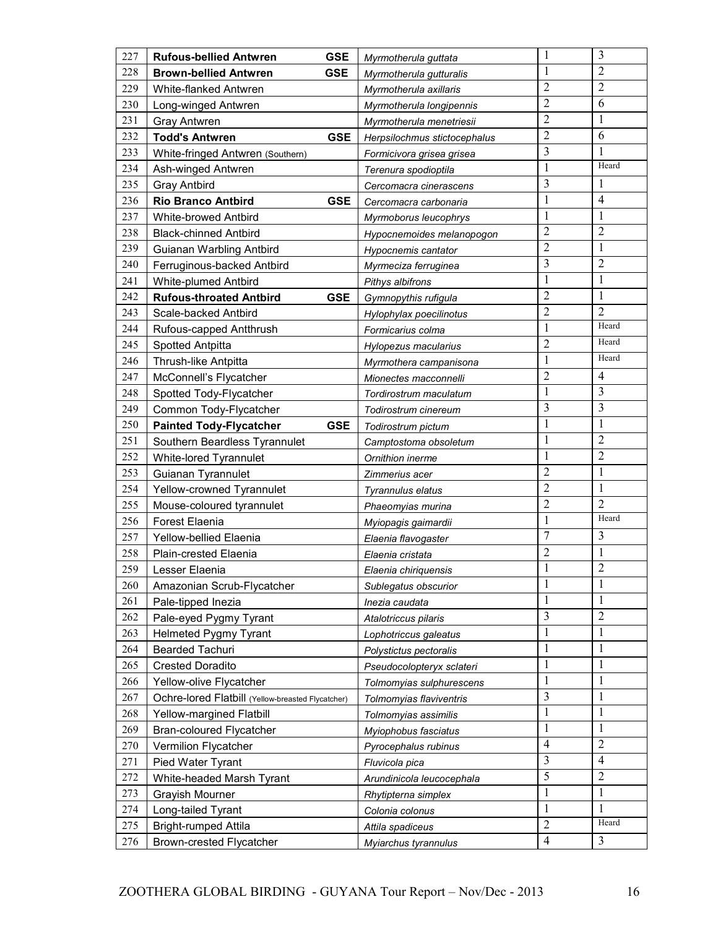| 227        | <b>GSE</b><br><b>Rufous-bellied Antwren</b>                                   |            | Myrmotherula guttata                   | $\mathbf{1}$                 | 3                              |
|------------|-------------------------------------------------------------------------------|------------|----------------------------------------|------------------------------|--------------------------------|
| 228        | <b>GSE</b><br><b>Brown-bellied Antwren</b>                                    |            | Myrmotherula gutturalis                | 1                            | $\overline{2}$                 |
| 229        | White-flanked Antwren                                                         |            | Myrmotherula axillaris                 | $\overline{2}$               | $\overline{2}$                 |
| 230        | Long-winged Antwren                                                           |            | Myrmotherula longipennis               | $\overline{2}$               | 6                              |
| 231        | <b>Gray Antwren</b>                                                           |            | Myrmotherula menetriesii               | $\overline{2}$               | $\mathbf{1}$                   |
| 232        | <b>Todd's Antwren</b>                                                         | <b>GSE</b> | Herpsilochmus stictocephalus           | $\overline{2}$               | 6                              |
| 233        | White-fringed Antwren (Southern)                                              |            | Formicivora grisea grisea              | 3                            | 1                              |
| 234        | Ash-winged Antwren                                                            |            | Terenura spodioptila                   | 1                            | Heard                          |
| 235        | <b>Gray Antbird</b>                                                           |            | Cercomacra cinerascens                 | 3                            | 1                              |
| 236        | <b>Rio Branco Antbird</b>                                                     | <b>GSE</b> | Cercomacra carbonaria                  | $\mathbf{1}$                 | $\overline{4}$                 |
| 237        | <b>White-browed Antbird</b>                                                   |            | Myrmoborus leucophrys                  | 1                            | 1                              |
| 238        | <b>Black-chinned Antbird</b>                                                  |            | Hypocnemoides melanopogon              | $\overline{c}$               | $\sqrt{2}$                     |
| 239        | Guianan Warbling Antbird                                                      |            | Hypocnemis cantator                    | $\overline{2}$               | $\mathbf{1}$                   |
| 240        | Ferruginous-backed Antbird                                                    |            | Myrmeciza ferruginea                   | $\overline{3}$               | $\overline{2}$                 |
| 241        | <b>White-plumed Antbird</b>                                                   |            | Pithys albifrons                       | 1                            | $\mathbf{1}$                   |
| 242        | <b>Rufous-throated Antbird</b><br><b>GSE</b>                                  |            | Gymnopythis rufigula                   | $\overline{2}$               | $\mathbf{1}$                   |
| 243        | Scale-backed Antbird                                                          |            | Hylophylax poecilinotus                | $\overline{2}$               | $\overline{2}$                 |
| 244        | Rufous-capped Antthrush                                                       |            | Formicarius colma                      | 1                            | Heard                          |
| 245        | Spotted Antpitta                                                              |            | Hylopezus macularius                   | $\overline{2}$               | Heard                          |
| 246        | Thrush-like Antpitta                                                          |            | Myrmothera campanisona                 | 1                            | Heard                          |
| 247        | McConnell's Flycatcher                                                        |            | Mionectes macconnelli                  | $\overline{2}$               | 4                              |
| 248        | Spotted Tody-Flycatcher                                                       |            | Tordirostrum maculatum                 | $\mathbf{1}$                 | 3                              |
| 249        | Common Tody-Flycatcher                                                        |            | Todirostrum cinereum                   | 3                            | 3                              |
| 250        | <b>Painted Tody-Flycatcher</b><br><b>GSE</b>                                  |            | Todirostrum pictum                     | $\mathbf{1}$                 | $\mathbf{1}$                   |
| 251        | Southern Beardless Tyrannulet                                                 |            | Camptostoma obsoletum                  | $\mathbf{1}$                 | $\overline{2}$                 |
| 252        | White-lored Tyrannulet                                                        |            | Ornithion inerme                       | $\mathbf{1}$                 | $\overline{2}$                 |
| 253        | Guianan Tyrannulet                                                            |            | Zimmerius acer                         | $\overline{2}$               | $\mathbf{1}$                   |
| 254        | Yellow-crowned Tyrannulet                                                     |            | Tyrannulus elatus                      | $\overline{2}$               | $\mathbf{1}$                   |
| 255        | Mouse-coloured tyrannulet                                                     |            | Phaeomyias murina                      | $\overline{2}$               | $\overline{2}$<br>Heard        |
| 256        | Forest Elaenia                                                                |            | Myiopagis gaimardii                    | $\mathbf{1}$                 |                                |
| 257        | Yellow-bellied Elaenia                                                        |            | Elaenia flavogaster                    | $\overline{7}$               | 3                              |
| 258        | Plain-crested Elaenia                                                         |            | Elaenia cristata                       | $\overline{2}$<br>1          | $\mathbf{1}$<br>$\overline{2}$ |
| 259        | Lesser Elaenia                                                                |            | Elaenia chiriquensis                   |                              |                                |
| 260        | Amazonian Scrub-Flycatcher                                                    |            | Sublegatus obscurior                   | $\mathbf{1}$<br>$\mathbf{1}$ | $\mathbf{1}$                   |
| 261        | Pale-tipped Inezia                                                            |            | Inezia caudata                         | 3                            | $\mathbf{1}$<br>$\overline{2}$ |
| 262        | Pale-eyed Pygmy Tyrant                                                        |            | Atalotriccus pilaris                   | $\mathbf{1}$                 | 1                              |
| 263        | Helmeted Pygmy Tyrant                                                         |            | Lophotriccus galeatus                  | 1                            | 1                              |
| 264        | <b>Bearded Tachuri</b>                                                        |            | Polystictus pectoralis                 | $\mathbf{1}$                 | $\mathbf{1}$                   |
| 265        | <b>Crested Doradito</b>                                                       |            | Pseudocolopteryx sclateri              | $\mathbf{1}$                 | $\mathbf{1}$                   |
| 266        | Yellow-olive Flycatcher                                                       |            | Tolmomyias sulphurescens               | $\mathfrak{Z}$               | 1                              |
| 267<br>268 | Ochre-Iored Flatbill (Yellow-breasted Flycatcher)<br>Yellow-margined Flatbill |            | Tolmomyias flaviventris                | $\mathbf{1}$                 | $\mathbf{1}$                   |
| 269        | <b>Bran-coloured Flycatcher</b>                                               |            | Tolmomyias assimilis                   | $\mathbf{1}$                 | $\mathbf{1}$                   |
| 270        | Vermilion Flycatcher                                                          |            | Myiophobus fasciatus                   | $\overline{4}$               | $\sqrt{2}$                     |
| 271        |                                                                               |            | Pyrocephalus rubinus                   | 3                            | 4                              |
| 272        | Pied Water Tyrant<br>White-headed Marsh Tyrant                                |            | Fluvicola pica                         | $\overline{5}$               | $\overline{2}$                 |
| 273        | Grayish Mourner                                                               |            | Arundinicola leucocephala              | 1                            | $\mathbf{1}$                   |
| 274        | Long-tailed Tyrant                                                            |            | Rhytipterna simplex<br>Colonia colonus | 1                            | $\mathbf{1}$                   |
| 275        | <b>Bright-rumped Attila</b>                                                   |            | Attila spadiceus                       | $\overline{2}$               | Heard                          |
| 276        | Brown-crested Flycatcher                                                      |            |                                        | $\overline{4}$               | 3                              |
|            |                                                                               |            | Myiarchus tyrannulus                   |                              |                                |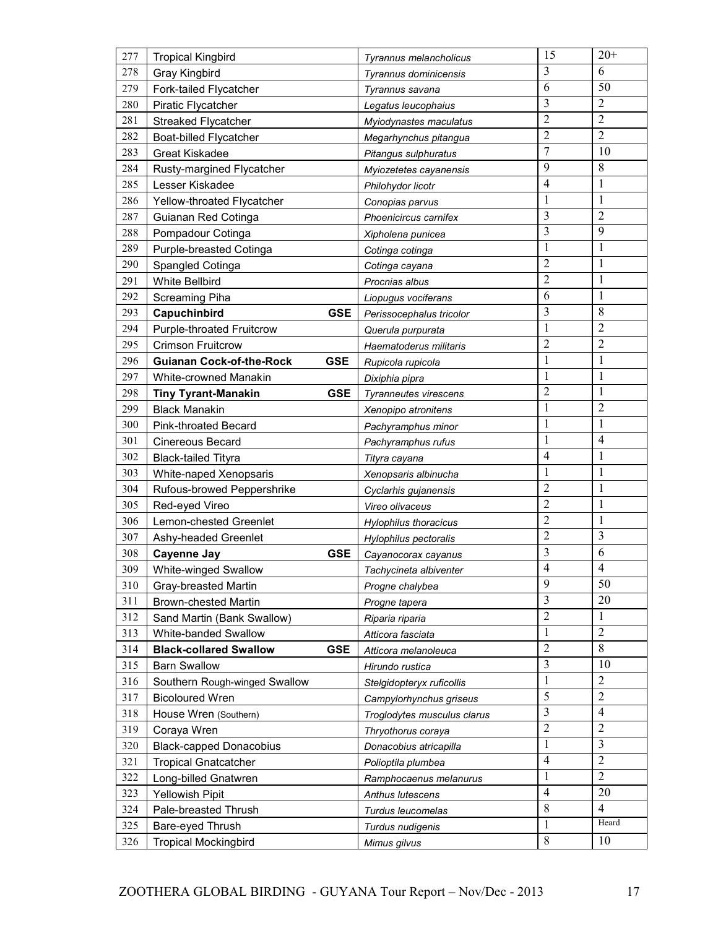| 277 | <b>Tropical Kingbird</b>         |            | Tyrannus melancholicus      | 15             | $20+$          |
|-----|----------------------------------|------------|-----------------------------|----------------|----------------|
| 278 | Gray Kingbird                    |            | Tyrannus dominicensis       | 3              | 6              |
| 279 | Fork-tailed Flycatcher           |            | Tyrannus savana             | 6              | 50             |
| 280 | <b>Piratic Flycatcher</b>        |            | Legatus leucophaius         | 3              | $\overline{c}$ |
| 281 | <b>Streaked Flycatcher</b>       |            | Myiodynastes maculatus      | $\overline{2}$ | $\overline{2}$ |
| 282 | Boat-billed Flycatcher           |            | Megarhynchus pitangua       | $\overline{2}$ | $\overline{2}$ |
| 283 | <b>Great Kiskadee</b>            |            | Pitangus sulphuratus        | $\tau$         | 10             |
| 284 | Rusty-margined Flycatcher        |            | Myiozetetes cayanensis      | 9              | 8              |
| 285 | Lesser Kiskadee                  |            | Philohydor licotr           | $\overline{4}$ | 1              |
| 286 | Yellow-throated Flycatcher       |            | Conopias parvus             | 1              | $\mathbf{1}$   |
| 287 | Guianan Red Cotinga              |            | Phoenicircus carnifex       | 3              | $\overline{2}$ |
| 288 | Pompadour Cotinga                |            | Xipholena punicea           | 3              | 9              |
| 289 | Purple-breasted Cotinga          |            | Cotinga cotinga             | 1              | 1              |
| 290 | Spangled Cotinga                 |            | Cotinga cayana              | $\overline{2}$ | $\mathbf{1}$   |
| 291 | <b>White Bellbird</b>            |            | Procnias albus              | $\overline{2}$ | $\mathbf{1}$   |
| 292 | Screaming Piha                   |            | Liopugus vociferans         | 6              | $\mathbf{1}$   |
| 293 | Capuchinbird                     | <b>GSE</b> | Perissocephalus tricolor    | 3              | 8              |
| 294 | <b>Purple-throated Fruitcrow</b> |            | Querula purpurata           | 1              | $\overline{2}$ |
| 295 | <b>Crimson Fruitcrow</b>         |            | Haematoderus militaris      | $\overline{2}$ | $\overline{c}$ |
| 296 | <b>Guianan Cock-of-the-Rock</b>  | <b>GSE</b> | Rupicola rupicola           | $\mathbf{1}$   | $\mathbf{1}$   |
| 297 | <b>White-crowned Manakin</b>     |            | Dixiphia pipra              | $\mathbf{1}$   | $\mathbf{1}$   |
| 298 | <b>Tiny Tyrant-Manakin</b>       | <b>GSE</b> | Tyranneutes virescens       | $\overline{2}$ | $\mathbf{1}$   |
| 299 | <b>Black Manakin</b>             |            | Xenopipo atronitens         | $\mathbf{1}$   | $\overline{2}$ |
| 300 | Pink-throated Becard             |            | Pachyramphus minor          | $\mathbf{1}$   | $\mathbf{1}$   |
| 301 | <b>Cinereous Becard</b>          |            | Pachyramphus rufus          | 1              | $\overline{4}$ |
| 302 | <b>Black-tailed Tityra</b>       |            | Tityra cayana               | $\overline{4}$ | 1              |
| 303 | White-naped Xenopsaris           |            | Xenopsaris albinucha        | 1              | 1              |
| 304 | Rufous-browed Peppershrike       |            | Cyclarhis gujanensis        | $\overline{2}$ | 1              |
| 305 | Red-eyed Vireo                   |            | Vireo olivaceus             | $\overline{2}$ | $\mathbf{1}$   |
| 306 | Lemon-chested Greenlet           |            | Hylophilus thoracicus       | $\overline{2}$ | $\mathbf{1}$   |
| 307 | Ashy-headed Greenlet             |            | Hylophilus pectoralis       | $\overline{2}$ | 3              |
| 308 | <b>Cayenne Jay</b>               | <b>GSE</b> | Cayanocorax cayanus         | 3              | 6              |
| 309 | White-winged Swallow             |            | Tachycineta albiventer      | $\overline{4}$ | $\overline{4}$ |
| 310 | Gray-breasted Martin             |            | Progne chalybea             | 9              | 50             |
| 311 | <b>Brown-chested Martin</b>      |            | Progne tapera               | $\overline{3}$ | 20             |
| 312 | Sand Martin (Bank Swallow)       |            | Riparia riparia             | $\overline{2}$ | 1              |
| 313 | White-banded Swallow             |            | Atticora fasciata           | 1              | $\sqrt{2}$     |
| 314 | <b>Black-collared Swallow</b>    | <b>GSE</b> | Atticora melanoleuca        | $\overline{2}$ | 8              |
| 315 | <b>Barn Swallow</b>              |            | Hirundo rustica             | 3              | 10             |
| 316 | Southern Rough-winged Swallow    |            | Stelgidopteryx ruficollis   | $\mathbf{1}$   | $\sqrt{2}$     |
| 317 | <b>Bicoloured Wren</b>           |            | Campylorhynchus griseus     | 5              | $\overline{2}$ |
| 318 | House Wren (Southern)            |            | Troglodytes musculus clarus | $\overline{3}$ | $\overline{4}$ |
| 319 | Coraya Wren                      |            | Thryothorus coraya          | $\overline{2}$ | $\overline{2}$ |
| 320 | <b>Black-capped Donacobius</b>   |            | Donacobius atricapilla      | $\mathbf{1}$   | 3              |
| 321 | <b>Tropical Gnatcatcher</b>      |            | Polioptila plumbea          | $\overline{4}$ | $\overline{2}$ |
| 322 | Long-billed Gnatwren             |            | Ramphocaenus melanurus      | $\mathbf{1}$   | $\overline{2}$ |
| 323 | <b>Yellowish Pipit</b>           |            | Anthus lutescens            | $\overline{4}$ | 20             |
| 324 | Pale-breasted Thrush             |            | Turdus leucomelas           | $\,8\,$        | 4              |
| 325 | Bare-eyed Thrush                 |            | Turdus nudigenis            | $\mathbf{1}$   | Heard          |
| 326 | <b>Tropical Mockingbird</b>      |            | Mimus gilvus                | 8              | 10             |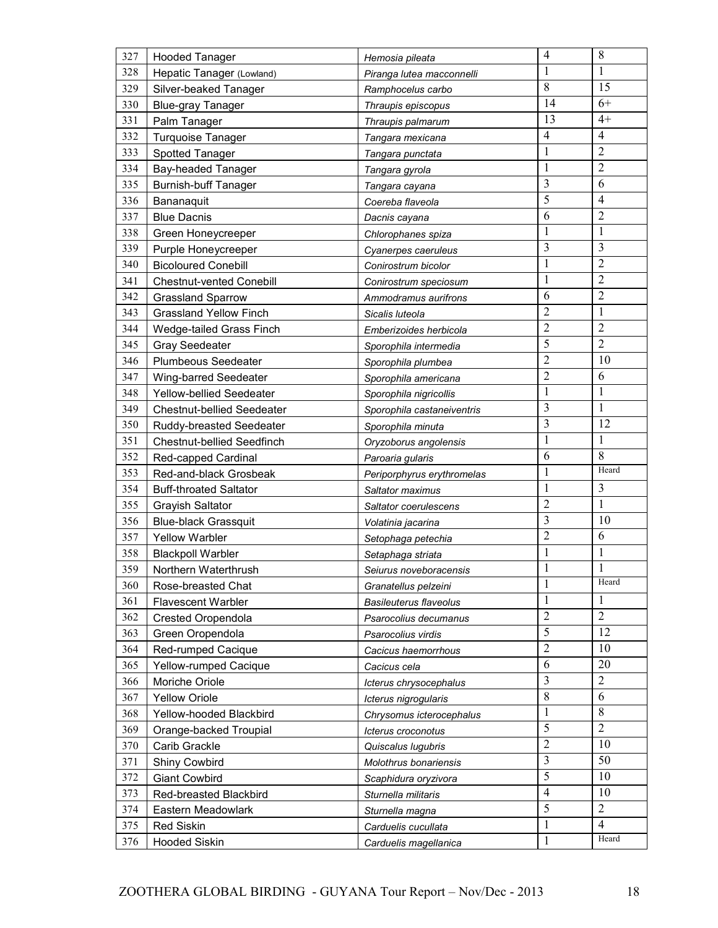| 327 | <b>Hooded Tanager</b>             | Hemosia pileata               | $\overline{4}$ | $\,8\,$        |
|-----|-----------------------------------|-------------------------------|----------------|----------------|
| 328 | Hepatic Tanager (Lowland)         | Piranga lutea macconnelli     | 1              | 1              |
| 329 | Silver-beaked Tanager             | Ramphocelus carbo             | 8              | 15             |
| 330 | <b>Blue-gray Tanager</b>          | Thraupis episcopus            | 14             | $6+$           |
| 331 | Palm Tanager                      | Thraupis palmarum             | 13             | $4+$           |
| 332 | Turquoise Tanager                 | Tangara mexicana              | $\overline{4}$ | $\overline{4}$ |
| 333 | Spotted Tanager                   | Tangara punctata              | $\mathbf{1}$   | $\overline{2}$ |
| 334 | Bay-headed Tanager                | Tangara gyrola                | $\mathbf{1}$   | $\overline{2}$ |
| 335 | <b>Burnish-buff Tanager</b>       | Tangara cayana                | 3              | 6              |
| 336 | Bananaquit                        | Coereba flaveola              | 5              | $\overline{4}$ |
| 337 | <b>Blue Dacnis</b>                | Dacnis cayana                 | 6              | $\overline{2}$ |
| 338 | Green Honeycreeper                | Chlorophanes spiza            | 1              | $\mathbf{1}$   |
| 339 | Purple Honeycreeper               | Cyanerpes caeruleus           | 3              | 3              |
| 340 | <b>Bicoloured Conebill</b>        | Conirostrum bicolor           | $\mathbf{1}$   | $\overline{2}$ |
| 341 | <b>Chestnut-vented Conebill</b>   | Conirostrum speciosum         | $\mathbf{1}$   | $\overline{2}$ |
| 342 | <b>Grassland Sparrow</b>          | Ammodramus aurifrons          | 6              | $\overline{2}$ |
| 343 | <b>Grassland Yellow Finch</b>     | Sicalis luteola               | $\overline{2}$ | $\mathbf{1}$   |
| 344 | Wedge-tailed Grass Finch          | Emberizoides herbicola        | $\overline{2}$ | $\overline{2}$ |
| 345 | <b>Gray Seedeater</b>             | Sporophila intermedia         | 5              | $\overline{2}$ |
| 346 | <b>Plumbeous Seedeater</b>        | Sporophila plumbea            | $\overline{2}$ | 10             |
| 347 | Wing-barred Seedeater             | Sporophila americana          | $\overline{2}$ | 6              |
| 348 | Yellow-bellied Seedeater          | Sporophila nigricollis        | 1              | $\mathbf{1}$   |
| 349 | Chestnut-bellied Seedeater        | Sporophila castaneiventris    | 3              | 1              |
| 350 | Ruddy-breasted Seedeater          | Sporophila minuta             | 3              | 12             |
| 351 | <b>Chestnut-bellied Seedfinch</b> | Oryzoborus angolensis         | 1              | 1              |
| 352 | Red-capped Cardinal               | Paroaria gularis              | 6              | 8              |
| 353 | Red-and-black Grosbeak            | Periporphyrus erythromelas    | 1              | Heard          |
| 354 | <b>Buff-throated Saltator</b>     | Saltator maximus              | $\mathbf{1}$   | 3              |
| 355 | <b>Grayish Saltator</b>           | Saltator coerulescens         | $\overline{c}$ | $\mathbf{1}$   |
| 356 | <b>Blue-black Grassquit</b>       | Volatinia jacarina            | 3              | 10             |
| 357 | <b>Yellow Warbler</b>             | Setophaga petechia            | $\overline{2}$ | 6              |
| 358 | <b>Blackpoll Warbler</b>          | Setaphaga striata             | $\mathbf{1}$   | $\mathbf{1}$   |
| 359 | Northern Waterthrush              | Seiurus noveboracensis        | 1              | 1              |
| 360 | Rose-breasted Chat                | Granatellus pelzeini          | 1              | Heard          |
| 361 | <b>Flavescent Warbler</b>         | <b>Basileuterus flaveolus</b> | 1              | 1              |
| 362 | Crested Oropendola                | Psarocolius decumanus         | $\overline{2}$ | $\overline{2}$ |
| 363 | Green Oropendola                  | Psarocolius virdis            | 5              | 12             |
| 364 | Red-rumped Cacique                | Cacicus haemorrhous           | $\overline{2}$ | 10             |
| 365 | Yellow-rumped Cacique             | Cacicus cela                  | 6              | 20             |
| 366 | Moriche Oriole                    | Icterus chrysocephalus        | 3              | $\sqrt{2}$     |
| 367 | <b>Yellow Oriole</b>              | Icterus nigrogularis          | $\,8\,$        | 6              |
| 368 | Yellow-hooded Blackbird           | Chrysomus icterocephalus      | $\mathbf{1}$   | 8              |
| 369 | Orange-backed Troupial            | Icterus croconotus            | 5              | $\overline{2}$ |
| 370 | Carib Grackle                     | Quiscalus lugubris            | $\overline{2}$ | 10             |
| 371 | Shiny Cowbird                     | Molothrus bonariensis         | 3              | 50             |
| 372 | <b>Giant Cowbird</b>              | Scaphidura oryzivora          | 5              | 10             |
| 373 | Red-breasted Blackbird            | Sturnella militaris           | $\overline{4}$ | 10             |
| 374 | Eastern Meadowlark                | Sturnella magna               | 5              | $\overline{2}$ |
| 375 | <b>Red Siskin</b>                 | Carduelis cucullata           | $\mathbf{1}$   | $\overline{4}$ |
| 376 | <b>Hooded Siskin</b>              | Carduelis magellanica         | $\mathbf{1}$   | Heard          |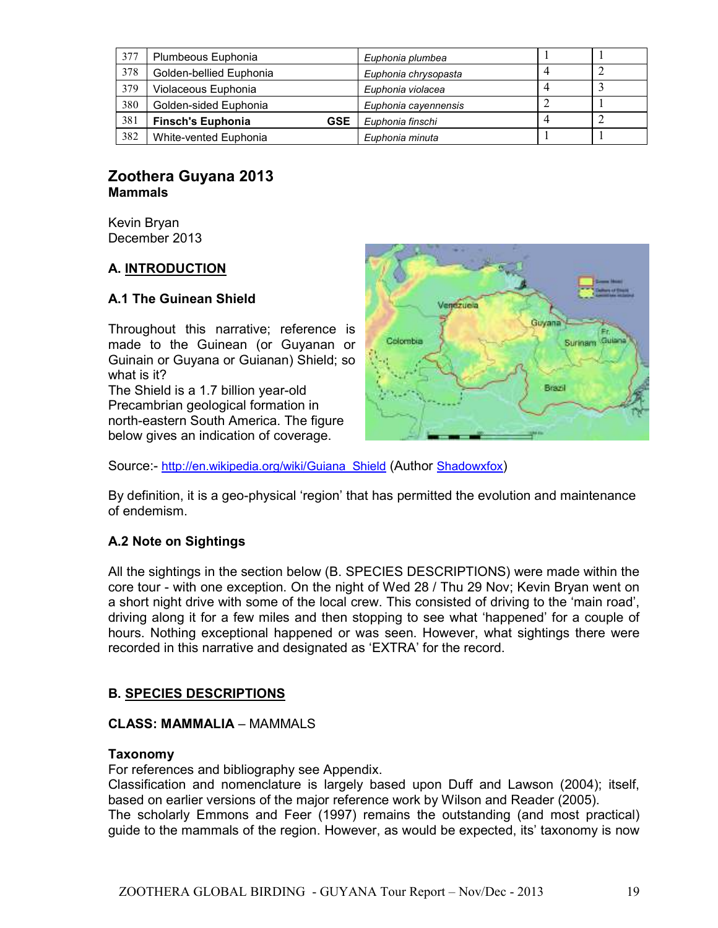| 377 | Plumbeous Euphonia                     | Euphonia plumbea     |  |
|-----|----------------------------------------|----------------------|--|
| 378 | Golden-bellied Euphonia                | Euphonia chrysopasta |  |
| 379 | Violaceous Euphonia                    | Euphonia violacea    |  |
| 380 | Golden-sided Euphonia                  | Euphonia cayennensis |  |
| 381 | <b>Finsch's Euphonia</b><br><b>GSE</b> | Euphonia finschi     |  |
| 382 | White-vented Euphonia                  | Euphonia minuta      |  |

# **Zoothera Guyana 2013 Mammals**

Kevin Bryan December 2013

# **A. INTRODUCTION**

# **A.1 The Guinean Shield**

Throughout this narrative; reference is made to the Guinean (or Guyanan or Guinain or Guyana or Guianan) Shield; so what is it? The Shield is a 1.7 billion year-old

Precambrian geological formation in north-eastern South America. The figure below gives an indication of coverage.



Source:- http://en.wikipedia.org/wiki/Guiana\_Shield (Author Shadowxfox)

By definition, it is a geo-physical 'region' that has permitted the evolution and maintenance of endemism.

# **A.2 Note on Sightings**

All the sightings in the section below (B. SPECIES DESCRIPTIONS) were made within the core tour - with one exception. On the night of Wed 28 / Thu 29 Nov; Kevin Bryan went on a short night drive with some of the local crew. This consisted of driving to the 'main road', driving along it for a few miles and then stopping to see what 'happened' for a couple of hours. Nothing exceptional happened or was seen. However, what sightings there were recorded in this narrative and designated as 'EXTRA' for the record.

# **B. SPECIES DESCRIPTIONS**

### **CLASS: MAMMALIA** – MAMMALS

### **Taxonomy**

For references and bibliography see Appendix.

Classification and nomenclature is largely based upon Duff and Lawson (2004); itself, based on earlier versions of the major reference work by Wilson and Reader (2005). The scholarly Emmons and Feer (1997) remains the outstanding (and most practical) guide to the mammals of the region. However, as would be expected, its' taxonomy is now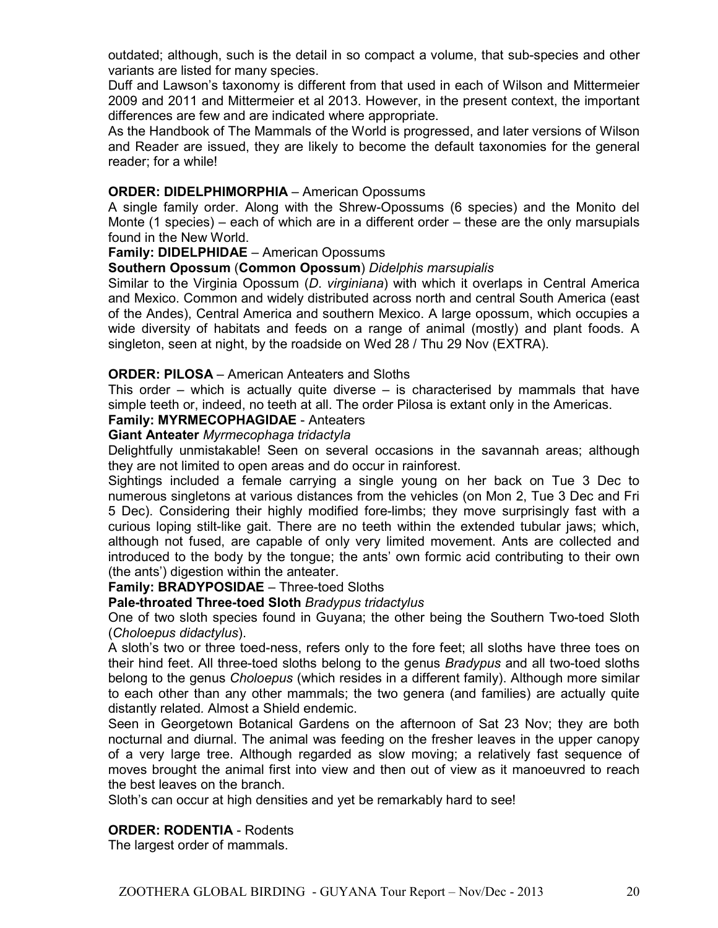outdated; although, such is the detail in so compact a volume, that sub-species and other variants are listed for many species.

Duff and Lawson's taxonomy is different from that used in each of Wilson and Mittermeier 2009 and 2011 and Mittermeier et al 2013. However, in the present context, the important differences are few and are indicated where appropriate.

As the Handbook of The Mammals of the World is progressed, and later versions of Wilson and Reader are issued, they are likely to become the default taxonomies for the general reader; for a while!

#### **ORDER: DIDELPHIMORPHIA** – American Opossums

A single family order. Along with the Shrew-Opossums (6 species) and the Monito del Monte (1 species) – each of which are in a different order – these are the only marsupials found in the New World.

## **Family: DIDELPHIDAE** – American Opossums

**Southern Opossum** (**Common Opossum**) *Didelphis marsupialis*

Similar to the Virginia Opossum (*D*. *virginiana*) with which it overlaps in Central America and Mexico. Common and widely distributed across north and central South America (east of the Andes), Central America and southern Mexico. A large opossum, which occupies a wide diversity of habitats and feeds on a range of animal (mostly) and plant foods. A singleton, seen at night, by the roadside on Wed 28 / Thu 29 Nov (EXTRA).

#### **ORDER: PILOSA** – American Anteaters and Sloths

This order – which is actually quite diverse – is characterised by mammals that have simple teeth or, indeed, no teeth at all. The order Pilosa is extant only in the Americas.

### **Family: MYRMECOPHAGIDAE** - Anteaters

#### **Giant Anteater** *Myrmecophaga tridactyla*

Delightfully unmistakable! Seen on several occasions in the savannah areas; although they are not limited to open areas and do occur in rainforest.

Sightings included a female carrying a single young on her back on Tue 3 Dec to numerous singletons at various distances from the vehicles (on Mon 2, Tue 3 Dec and Fri 5 Dec). Considering their highly modified fore-limbs; they move surprisingly fast with a curious loping stilt-like gait. There are no teeth within the extended tubular jaws; which, although not fused, are capable of only very limited movement. Ants are collected and introduced to the body by the tongue; the ants' own formic acid contributing to their own (the ants') digestion within the anteater.

#### **Family: BRADYPOSIDAE** – Three-toed Sloths

#### **Pale-throated Three-toed Sloth** *Bradypus tridactylus*

One of two sloth species found in Guyana; the other being the Southern Two-toed Sloth (*Choloepus didactylus*).

A sloth's two or three toed-ness, refers only to the fore feet; all sloths have three toes on their hind feet. All three-toed sloths belong to the genus *Bradypus* and all two-toed sloths belong to the genus *Choloepus* (which resides in a different family). Although more similar to each other than any other mammals; the two genera (and families) are actually quite distantly related*.* Almost a Shield endemic.

Seen in Georgetown Botanical Gardens on the afternoon of Sat 23 Nov; they are both nocturnal and diurnal. The animal was feeding on the fresher leaves in the upper canopy of a very large tree. Although regarded as slow moving; a relatively fast sequence of moves brought the animal first into view and then out of view as it manoeuvred to reach the best leaves on the branch.

Sloth's can occur at high densities and yet be remarkably hard to see!

#### **ORDER: RODENTIA** - Rodents

The largest order of mammals.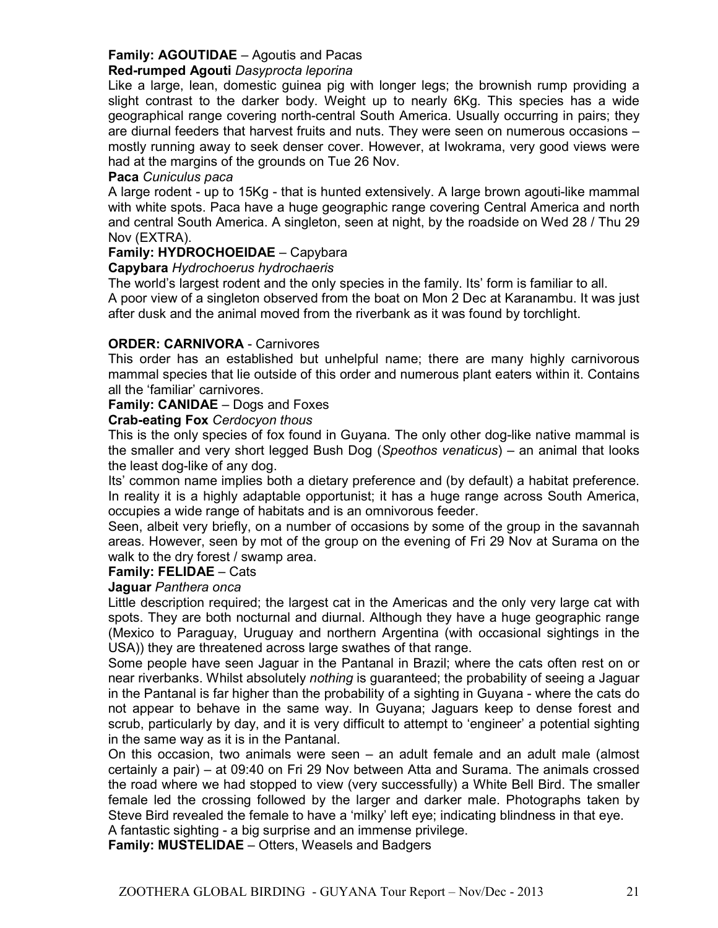#### **Family: AGOUTIDAE** – Agoutis and Pacas **Red-rumped Agouti** *Dasyprocta leporina*

# Like a large, lean, domestic guinea pig with longer legs; the brownish rump providing a slight contrast to the darker body. Weight up to nearly 6Kg. This species has a wide geographical range covering north-central South America. Usually occurring in pairs; they are diurnal feeders that harvest fruits and nuts. They were seen on numerous occasions – mostly running away to seek denser cover. However, at Iwokrama, very good views were

had at the margins of the grounds on Tue 26 Nov.

## **Paca** *Cuniculus paca*

A large rodent - up to 15Kg - that is hunted extensively. A large brown agouti-like mammal with white spots. Paca have a huge geographic range covering Central America and north and central South America. A singleton, seen at night, by the roadside on Wed 28 / Thu 29 Nov (EXTRA).

# **Family: HYDROCHOEIDAE** – Capybara

## **Capybara** *Hydrochoerus hydrochaeris*

The world's largest rodent and the only species in the family. Its' form is familiar to all.

A poor view of a singleton observed from the boat on Mon 2 Dec at Karanambu. It was just after dusk and the animal moved from the riverbank as it was found by torchlight.

## **ORDER: CARNIVORA** - Carnivores

This order has an established but unhelpful name; there are many highly carnivorous mammal species that lie outside of this order and numerous plant eaters within it. Contains all the 'familiar' carnivores.

### **Family: CANIDAE** – Dogs and Foxes

**Crab-eating Fox** *Cerdocyon thous*

This is the only species of fox found in Guyana. The only other dog-like native mammal is the smaller and very short legged Bush Dog (*Speothos venaticus*) – an animal that looks the least dog-like of any dog.

Its' common name implies both a dietary preference and (by default) a habitat preference. In reality it is a highly adaptable opportunist; it has a huge range across South America, occupies a wide range of habitats and is an omnivorous feeder.

Seen, albeit very briefly, on a number of occasions by some of the group in the savannah areas. However, seen by mot of the group on the evening of Fri 29 Nov at Surama on the walk to the dry forest / swamp area.

### **Family: FELIDAE** – Cats

### **Jaguar** *Panthera onca*

Little description required; the largest cat in the Americas and the only very large cat with spots. They are both nocturnal and diurnal. Although they have a huge geographic range (Mexico to Paraguay, Uruguay and northern Argentina (with occasional sightings in the USA)) they are threatened across large swathes of that range.

Some people have seen Jaguar in the Pantanal in Brazil; where the cats often rest on or near riverbanks. Whilst absolutely *nothing* is guaranteed; the probability of seeing a Jaguar in the Pantanal is far higher than the probability of a sighting in Guyana - where the cats do not appear to behave in the same way. In Guyana; Jaguars keep to dense forest and scrub, particularly by day, and it is very difficult to attempt to 'engineer' a potential sighting in the same way as it is in the Pantanal.

On this occasion, two animals were seen – an adult female and an adult male (almost certainly a pair) – at 09:40 on Fri 29 Nov between Atta and Surama. The animals crossed the road where we had stopped to view (very successfully) a White Bell Bird. The smaller female led the crossing followed by the larger and darker male. Photographs taken by Steve Bird revealed the female to have a 'milky' left eye; indicating blindness in that eye.

A fantastic sighting - a big surprise and an immense privilege.

**Family: MUSTELIDAE** – Otters, Weasels and Badgers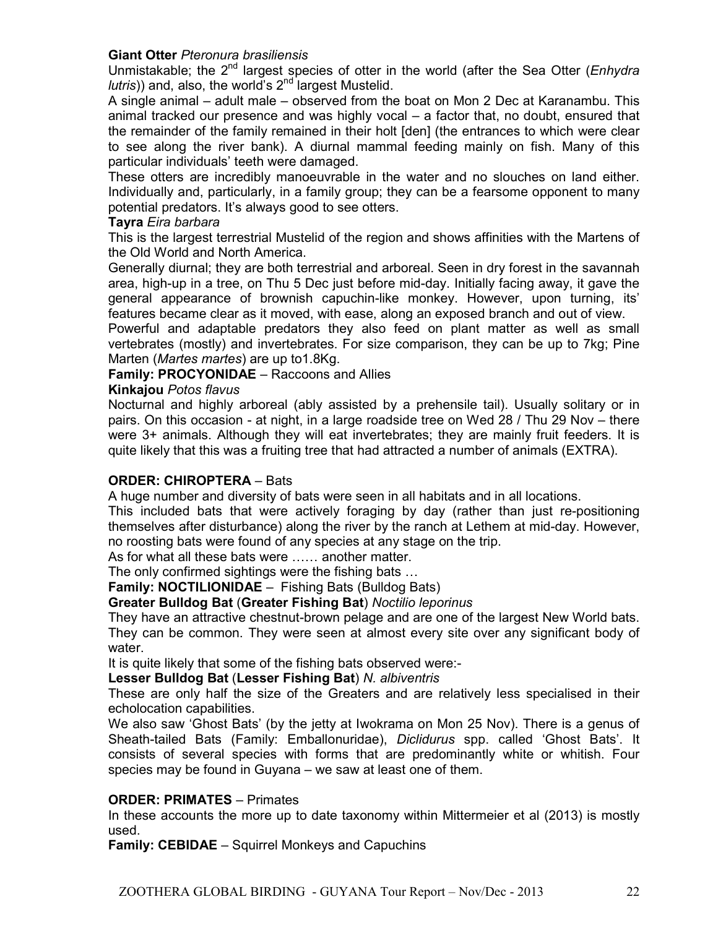#### **Giant Otter** *Pteronura brasiliensis*

Unmistakable; the 2nd largest species of otter in the world (after the Sea Otter (*Enhydra lutris*)) and, also, the world's 2<sup>nd</sup> largest Mustelid.

A single animal – adult male – observed from the boat on Mon 2 Dec at Karanambu. This animal tracked our presence and was highly vocal – a factor that, no doubt, ensured that the remainder of the family remained in their holt [den] (the entrances to which were clear to see along the river bank). A diurnal mammal feeding mainly on fish. Many of this particular individuals' teeth were damaged.

These otters are incredibly manoeuvrable in the water and no slouches on land either. Individually and, particularly, in a family group; they can be a fearsome opponent to many potential predators. It's always good to see otters.

#### **Tayra** *Eira barbara*

This is the largest terrestrial Mustelid of the region and shows affinities with the Martens of the Old World and North America.

Generally diurnal; they are both terrestrial and arboreal. Seen in dry forest in the savannah area, high-up in a tree, on Thu 5 Dec just before mid-day. Initially facing away, it gave the general appearance of brownish capuchin-like monkey. However, upon turning, its' features became clear as it moved, with ease, along an exposed branch and out of view.

Powerful and adaptable predators they also feed on plant matter as well as small vertebrates (mostly) and invertebrates. For size comparison, they can be up to 7kg; Pine Marten (*Martes martes*) are up to1.8Kg.

### **Family: PROCYONIDAE** – Raccoons and Allies

#### **Kinkajou** *Potos flavus*

Nocturnal and highly arboreal (ably assisted by a prehensile tail). Usually solitary or in pairs. On this occasion - at night, in a large roadside tree on Wed 28 / Thu 29 Nov – there were 3+ animals. Although they will eat invertebrates; they are mainly fruit feeders. It is quite likely that this was a fruiting tree that had attracted a number of animals (EXTRA).

### **ORDER: CHIROPTERA** – Bats

A huge number and diversity of bats were seen in all habitats and in all locations.

This included bats that were actively foraging by day (rather than just re-positioning themselves after disturbance) along the river by the ranch at Lethem at mid-day. However, no roosting bats were found of any species at any stage on the trip.

As for what all these bats were ...... another matter.

The only confirmed sightings were the fishing bats  $\ldots$ 

**Family: NOCTILIONIDAE** – Fishing Bats (Bulldog Bats)

**Greater Bulldog Bat** (**Greater Fishing Bat**) *Noctilio leporinus*

They have an attractive chestnut-brown pelage and are one of the largest New World bats. They can be common. They were seen at almost every site over any significant body of water.

It is quite likely that some of the fishing bats observed were:-

**Lesser Bulldog Bat** (**Lesser Fishing Bat**) *N. albiventris*

These are only half the size of the Greaters and are relatively less specialised in their echolocation capabilities.

We also saw 'Ghost Bats' (by the jetty at Iwokrama on Mon 25 Nov). There is a genus of Sheath-tailed Bats (Family: Emballonuridae), *Diclidurus* spp. called 'Ghost Bats'. It consists of several species with forms that are predominantly white or whitish. Four species may be found in Guyana – we saw at least one of them.

#### **ORDER: PRIMATES** – Primates

In these accounts the more up to date taxonomy within Mittermeier et al (2013) is mostly used.

**Family: CEBIDAE** – Squirrel Monkeys and Capuchins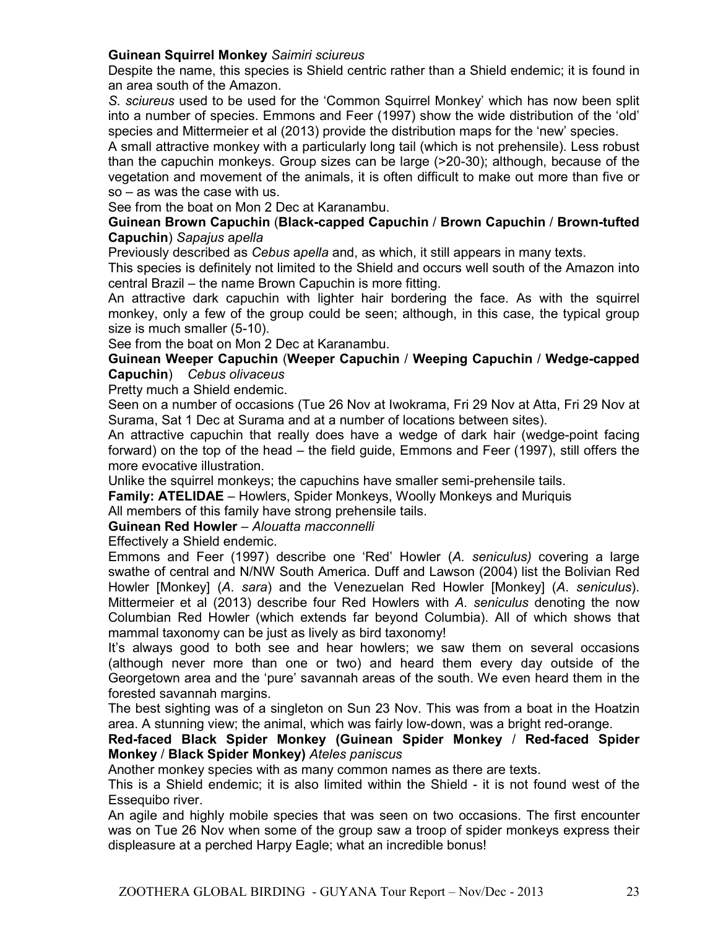### **Guinean Squirrel Monkey** *Saimiri sciureus*

Despite the name, this species is Shield centric rather than a Shield endemic; it is found in an area south of the Amazon.

*S. sciureus* used to be used for the 'Common Squirrel Monkey' which has now been split into a number of species. Emmons and Feer (1997) show the wide distribution of the 'old' species and Mittermeier et al (2013) provide the distribution maps for the 'new' species.

A small attractive monkey with a particularly long tail (which is not prehensile). Less robust than the capuchin monkeys. Group sizes can be large (>20-30); although, because of the vegetation and movement of the animals, it is often difficult to make out more than five or so – as was the case with us.

See from the boat on Mon 2 Dec at Karanambu.

#### **Guinean Brown Capuchin** (**Black-capped Capuchin** / **Brown Capuchin** / **Brown-tufted Capuchin**) *Sapajus* a*pella*

Previously described as *Cebus* a*pella* and, as which, it still appears in many texts.

This species is definitely not limited to the Shield and occurs well south of the Amazon into central Brazil – the name Brown Capuchin is more fitting.

An attractive dark capuchin with lighter hair bordering the face. As with the squirrel monkey, only a few of the group could be seen; although, in this case, the typical group size is much smaller (5-10).

See from the boat on Mon 2 Dec at Karanambu.

**Guinean Weeper Capuchin** (**Weeper Capuchin** / **Weeping Capuchin** / **Wedge-capped Capuchin**) *Cebus olivaceus*

Pretty much a Shield endemic.

Seen on a number of occasions (Tue 26 Nov at Iwokrama, Fri 29 Nov at Atta, Fri 29 Nov at Surama, Sat 1 Dec at Surama and at a number of locations between sites).

An attractive capuchin that really does have a wedge of dark hair (wedge-point facing forward) on the top of the head – the field guide, Emmons and Feer (1997), still offers the more evocative illustration.

Unlike the squirrel monkeys; the capuchins have smaller semi-prehensile tails.

**Family: ATELIDAE** – Howlers, Spider Monkeys, Woolly Monkeys and Muriquis

All members of this family have strong prehensile tails.

**Guinean Red Howler** – *Alouatta macconnelli*

Effectively a Shield endemic.

Emmons and Feer (1997) describe one 'Red' Howler (*A. seniculus)* covering a large swathe of central and N/NW South America. Duff and Lawson (2004) list the Bolivian Red Howler [Monkey] (*A*. *sara*) and the Venezuelan Red Howler [Monkey] (*A*. *seniculus*). Mittermeier et al (2013) describe four Red Howlers with *A. seniculus* denoting the now Columbian Red Howler (which extends far beyond Columbia). All of which shows that mammal taxonomy can be just as lively as bird taxonomy!

It's always good to both see and hear howlers; we saw them on several occasions (although never more than one or two) and heard them every day outside of the Georgetown area and the 'pure' savannah areas of the south. We even heard them in the forested savannah margins.

The best sighting was of a singleton on Sun 23 Nov. This was from a boat in the Hoatzin area. A stunning view; the animal, which was fairly low-down, was a bright red-orange.

**Red-faced Black Spider Monkey (Guinean Spider Monkey** / **Red-faced Spider Monkey** / **Black Spider Monkey)** *Ateles paniscus*

Another monkey species with as many common names as there are texts.

This is a Shield endemic; it is also limited within the Shield - it is not found west of the Essequibo river.

An agile and highly mobile species that was seen on two occasions. The first encounter was on Tue 26 Nov when some of the group saw a troop of spider monkeys express their displeasure at a perched Harpy Eagle; what an incredible bonus!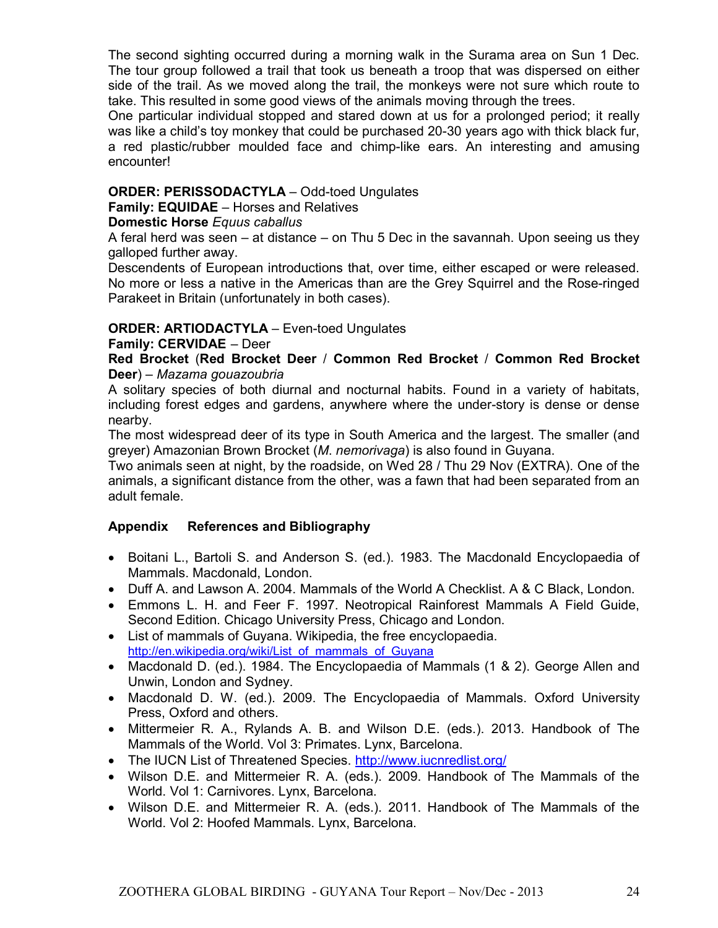The second sighting occurred during a morning walk in the Surama area on Sun 1 Dec. The tour group followed a trail that took us beneath a troop that was dispersed on either side of the trail. As we moved along the trail, the monkeys were not sure which route to take. This resulted in some good views of the animals moving through the trees.

One particular individual stopped and stared down at us for a prolonged period; it really was like a child's toy monkey that could be purchased 20-30 years ago with thick black fur, a red plastic/rubber moulded face and chimp-like ears. An interesting and amusing encounter!

### **ORDER: PERISSODACTYLA** – Odd-toed Ungulates

**Family: EQUIDAE** – Horses and Relatives

### **Domestic Horse** *Equus caballus*

A feral herd was seen – at distance – on Thu 5 Dec in the savannah. Upon seeing us they galloped further away.

Descendents of European introductions that, over time, either escaped or were released. No more or less a native in the Americas than are the Grey Squirrel and the Rose-ringed Parakeet in Britain (unfortunately in both cases).

### **ORDER: ARTIODACTYLA** – Even-toed Ungulates

#### **Family: CERVIDAE** – Deer

### **Red Brocket** (**Red Brocket Deer** / **Common Red Brocket** / **Common Red Brocket Deer**) – *Mazama gouazoubria*

A solitary species of both diurnal and nocturnal habits. Found in a variety of habitats, including forest edges and gardens, anywhere where the under-story is dense or dense nearby.

The most widespread deer of its type in South America and the largest. The smaller (and greyer) Amazonian Brown Brocket (*M*. *nemorivaga*) is also found in Guyana.

Two animals seen at night, by the roadside, on Wed 28 / Thu 29 Nov (EXTRA). One of the animals, a significant distance from the other, was a fawn that had been separated from an adult female.

### **Appendix References and Bibliography**

- Boitani L., Bartoli S. and Anderson S. (ed.). 1983. The Macdonald Encyclopaedia of Mammals. Macdonald, London.
- Duff A. and Lawson A. 2004. Mammals of the World A Checklist. A & C Black, London.
- Emmons L. H. and Feer F. 1997. Neotropical Rainforest Mammals A Field Guide, Second Edition. Chicago University Press, Chicago and London.
- List of mammals of Guyana. Wikipedia, the free encyclopaedia. http://en.wikipedia.org/wiki/List\_of\_mammals\_of\_Guyana
- Macdonald D. (ed.). 1984. The Encyclopaedia of Mammals (1 & 2). George Allen and Unwin, London and Sydney.
- Macdonald D. W. (ed.). 2009. The Encyclopaedia of Mammals. Oxford University Press, Oxford and others.
- Mittermeier R. A., Rylands A. B. and Wilson D.E. (eds.). 2013. Handbook of The Mammals of the World. Vol 3: Primates. Lynx, Barcelona.
- The IUCN List of Threatened Species. http://www.iucnredlist.org/
- Wilson D.E. and Mittermeier R. A. (eds.). 2009. Handbook of The Mammals of the World. Vol 1: Carnivores. Lynx, Barcelona.
- Wilson D.E. and Mittermeier R. A. (eds.). 2011. Handbook of The Mammals of the World. Vol 2: Hoofed Mammals. Lynx, Barcelona.